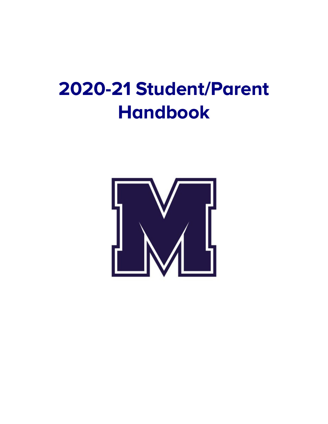# **2020-21 Student/Parent Handbook**

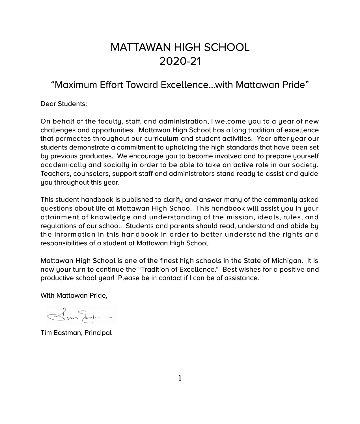# MATTAWAN HIGH SCHOOL 2020-21

# "Maximum Effort Toward Excellence...with Mattawan Pride"

Dear Students:

On behalf of the faculty, staff, and administration, I welcome you to a year of new challenges and opportunities. Mattawan High School has a long tradition of excellence that permeates throughout our curriculum and student activities. Year after year our students demonstrate a commitment to upholding the high standards that have been set by previous graduates. We encourage you to become involved and to prepare yourself academically and socially in order to be able to take an active role in our society. Teachers, counselors, support staff and administrators stand ready to assist and guide you throughout this year.

This student handbook is published to clarify and answer many of the commonly asked questions about life at Mattawan High Schoo. This handbook will assist you in your attainment of knowledge and understanding of the mission, ideals, rules, and regulations of our school. Students and parents should read, understand and abide by the inform ation in this handbook in order to better understand the rights and responsibilities of a student at Mattawan High School.

Mattawan High School is one of the finest high schools in the State of Michigan. It is now your turn to continue the "Tradition of Excellence." Best wishes for a positive and productive school year! Please be in contact if I can be of assistance.

With Mattawan Pride,

 $\frac{1}{\sqrt{1-\frac{1}{2}}}\frac{1}{\sqrt{1-\frac{1}{2}}}\frac{1}{\sqrt{1-\frac{1}{2}}}\frac{1}{\sqrt{1-\frac{1}{2}}}\frac{1}{\sqrt{1-\frac{1}{2}}}\frac{1}{\sqrt{1-\frac{1}{2}}}\frac{1}{\sqrt{1-\frac{1}{2}}}\frac{1}{\sqrt{1-\frac{1}{2}}}\frac{1}{\sqrt{1-\frac{1}{2}}}\frac{1}{\sqrt{1-\frac{1}{2}}}\frac{1}{\sqrt{1-\frac{1}{2}}}\frac{1}{\sqrt{1-\frac{1}{2}}}\frac{1}{\sqrt{1-\frac{1}{2}}}\frac{1}{\sqrt{1-\frac{$ 

Tim Eastman, Principal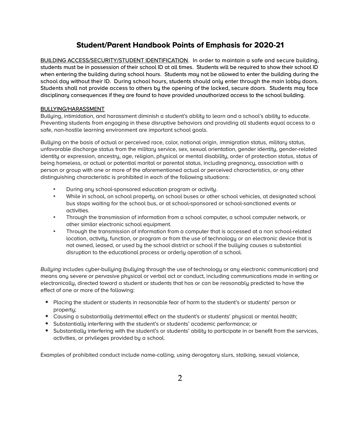# **Student/Parent Handbook Points of Emphasis for 2020-21**

BUILDING ACCESS/SECURITY/STUDENT IDENTIFICATION. In order to maintain a safe and secure building, students must be in possession of their school ID at all times. Students will be required to show their school ID when entering the building during school hours. Students may not be allowed to enter the building during the school day without their ID. During school hours, students should only enter through the main lobby doors. Students shall not provide access to others by the opening of the locked, secure doors. Students may face disciplinary consequences if they are found to have provided unauthorized access to the school building.

# BULLYING/HARASSMENT

Bulluing, intimidation, and harassment diminish a student's ability to learn and a school's ability to educate. Preventing students from engaging in these disruptive behaviors and providing all students equal access to a safe, non-hostile learning environment are important school goals.

Bulluing on the basis of actual or perceived race, color, national origin, immigration status, military status, unfavorable discharge status from the military service, sex, sexual orientation, gender identity, gender-related identity or expression, ancestry, age, religion, physical or mental disability, order of protection status, status of being homeless, or actual or potential marital or parental status, including pregnancy, association with a person or group with one or more of the aforementioned actual or perceived characteristics, or any other distinguishing characteristic is prohibited in each of the following situations:

- During any school-sponsored education program or activity.
- While in school, on school property, on school buses or other school vehicles, at designated school bus stops waiting for the school bus, or at school-sponsored or school-sanctioned events or activities.
- Through the transmission of information from a school computer, a school computer network, or other similar electronic school equipment.
- Through the transmission of information from a computer that is accessed at a non school-related location, activity, function, or program or from the use of technology or an electronic device that is not owned, leased, or used by the school district or school if the bullying causes a substantial disruption to the educational process or orderly operation of a school.

*Bullying* includes cyber-bullying (bullying through the use of technology or any electronic communication) and means any severe or pervasive physical or verbal act or conduct, including communications made in writing or electronically, directed toward a student or students that has or can be reasonably predicted to have the effect of one or more of the following:

- Placing the student or students in reasonable fear of harm to the student's or students' person or property;
- Causing a substantially detrimental effect on the student's or students' physical or mental health;
- Substantially interfering with the student's or students' academic performance; or
- Substantially interfering with the student's or students' ability to participate in or benefit from the services, activities, or privileges provided by a school.

Examples of prohibited conduct include name-calling, using derogatory slurs, stalking, sexual violence,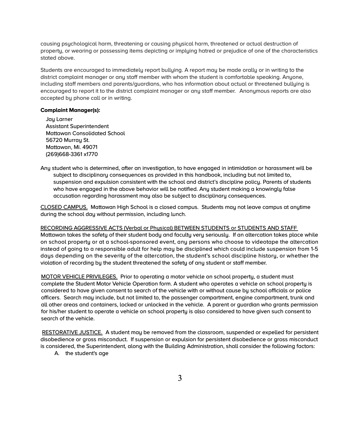causing psychological harm, threatening or causing physical harm, threatened or actual destruction of property, or wearing or possessing items depicting or implying hatred or prejudice of one of the characteristics stated above.

Students are encouraged to immediately report bullying. A report may be made orally or in writing to the district complaint manager or any staff member with whom the student is comfortable speaking. Anyone, including staff members and parents/guardians, who has information about actual or threatened bullying is encouraged to report it to the district complaint manager or any staff member. Anonymous reports are also accepted by phone call or in writing.

#### **Complaint Manager(s):**

Jay Larner Assistant Superintendent Mattawan Consolidated School 56720 Murrau St. Mattawan, Mi. 49071 (269)668-3361 x1770

Any student who is determined, after an investigation, to have engaged in intimidation or harassment will be subject to disciplinary consequences as provided in this handbook, including but not limited to, suspension and expulsion consistent with the school and district's discipline policy. Parents of students who have engaged in the above behavior will be notified. Any student making a knowingly false accusation regarding harassment may also be subject to disciplinary consequences.

CLOSED CAMPUS. Mattawan High School is a closed campus. Students may not leave campus at anytime during the school day without permission, including lunch.

#### RECORDING AGGRESSIVE ACTS (Verbal or Physical) BETWEEN STUDENTS or STUDENTS AND STAFF

Mattawan takes the safety of their student body and faculty very seriously. If an altercation takes place while on school property or at a school-sponsored event, any persons who choose to videotape the altercation instead of going to a responsible adult for help may be disciplined which could include suspension from 1-5 days depending on the severity of the altercation, the student's school discipline history, or whether the violation of recording by the student threatened the safety of any student or staff member.

MOTOR VEHICLE PRIVILEGES. Prior to operating a motor vehicle on school property, a student must complete the Student Motor Vehicle Operation form. A student who operates a vehicle on school property is considered to have given consent to search of the vehicle with or without cause by school officials or police officers. Search may include, but not limited to, the passenger compartment, engine compartment, trunk and all other areas and containers, locked or unlocked in the vehicle. A parent or guardian who grants permission for his/her student to operate a vehicle on school property is also considered to have given such consent to search of the vehicle.

RESTORATIVE JUSTICE. A student may be removed from the classroom, suspended or expelled for persistent disobedience or gross misconduct. If suspension or expulsion for persistent disobedience or gross misconduct is considered, the Superintendent, along with the Building Administration, shall consider the following factors:

A. the student's age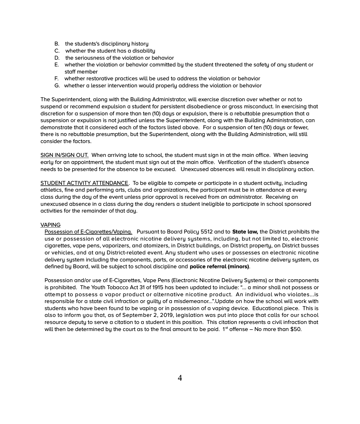- B. the students's disciplinary history
- C. whether the student has a disability
- D. the seriousness of the violation or behavior
- E. whether the violation or behavior committed by the student threatened the safety of any student or staff member
- F. whether restorative practices will be used to address the violation or behavior
- G. whether a lesser intervention would properly address the violation or behavior

The Superintendent, along with the Building Administrator, will exercise discretion over whether or not to suspend or recommend expulsion a student for persistent disobedience or gross misconduct. In exercising that discretion for a suspension of more than ten (10) days or expulsion, there is a rebuttable presumption that a suspension or expulsion is not justified unless the Superintendent, along with the Building Administration, can demonstrate that it considered each of the factors listed above. For a suspension of ten (10) days or fewer, there is no rebuttable presumption, but the Superintendent, along with the Building Administration, will still consider the factors.

SIGN IN/SIGN OUT. When arriving late to school, the student must sign in at the main office. When leaving early for an appointment, the student must sign out at the main office. Verification of the student's absence needs to be presented for the absence to be excused. Unexcused absences will result in disciplinary action.

STUDENT ACTIVITY ATTENDANCE. To be eligible to compete or participate in a student activity, including athletics, fine and performing arts, clubs and organizations, the participant must be in attendance at every class during the day of the event unless prior approval is received from an administrator. Receiving an unexcused absence in a class during the day renders a student ineligible to participate in school sponsored activities for the remainder of that day.

# VAPING

Possession of E-Cigarettes/Vaping. Pursuant to Board Policy 5512 and to **State law***,* the District prohibits the use or possession of all electronic nicotine delivery systems, including, but not limited to, electronic cigarettes, vape pens, vaporizers, and atomizers, in District buildings, on District property, on District busses or vehicles, and at any District-related event. Any student who uses or possesses an electronic nicotine delivery system including the components, parts, or accessories of the electronic nicotine delivery system, as defined by Board, will be subject to school discipline and **police referral (minors)**.

Possession and/or use of E-Cigarettes, Vape Pens (Electronic Nicotine Delivery Systems) or their components is prohibited. The Youth Tobacco Act 31 of 1915 has been updated to include: "... a minor shall not possess or attempt to possess a vapor product or alternative nicotine product. An individual who violates...is responsible for a state civil infraction or guilty of a misdemeanor...".Update on how the school will work with students who have been found to be vaping or in possession of a vaping device. Educational piece. This is also to inform you that, as of September 2, 2019, legislation was put into place that calls for our school resource deputy to serve a citation to a student in this position. This citation represents a civil infraction that will then be determined by the court as to the final amount to be paid.  $1<sup>st</sup>$  offense – No more than \$50.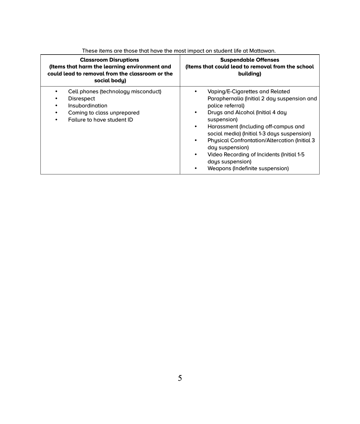| <b>Classroom Disruptions</b><br>(Items that harm the learning environment and<br>could lead to removal from the classroom or the<br>social body) | <b>Suspendable Offenses</b><br>(Items that could lead to removal from the school<br>building)                                                                                                                                                                                                                                                                                                                                                          |  |
|--------------------------------------------------------------------------------------------------------------------------------------------------|--------------------------------------------------------------------------------------------------------------------------------------------------------------------------------------------------------------------------------------------------------------------------------------------------------------------------------------------------------------------------------------------------------------------------------------------------------|--|
| Cell phones (technology misconduct)<br><b>Disrespect</b><br>Insubordination<br>Coming to class unprepared<br>Failure to have student ID          | Vaping/E-Cigarettes and Related<br>Paraphernalia (Initial 2 day suspension and<br>police referral)<br>Drugs and Alcohol (Initial 4 day<br>٠<br>suspension)<br>Harassment (Including off-campus and<br>$\bullet$<br>social media) (Initial 1-3 days suspension)<br>Physical Confrontation/Altercation (Initial 3)<br>٠<br>day suspension)<br>Video Recording of Incidents (Initial 1-5<br>٠<br>days suspension)<br>Weapons (Indefinite suspension)<br>٠ |  |

These items are those that have the most impact on student life at Mattawan.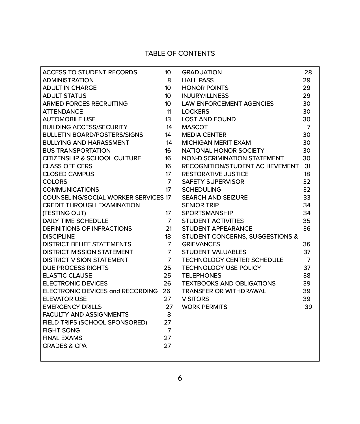# TABLE OF CONTENTS

| ACCESS TO STUDENT RECORDS                   | 10 <sup>2</sup> | <b>GRADUATION</b>                  | 28             |
|---------------------------------------------|-----------------|------------------------------------|----------------|
| <b>ADMINISTRATION</b>                       | 8               | <b>HALL PASS</b>                   | 29             |
| <b>ADULT IN CHARGE</b>                      | 10 <sup>°</sup> | <b>HONOR POINTS</b>                | 29             |
| <b>ADULT STATUS</b>                         | 10 <sup>°</sup> | <b>INJURY/ILLNESS</b>              | 29             |
| ARMED FORCES RECRUITING                     | 10 <sup>°</sup> | LAW ENFORCEMENT AGENCIES           | 30             |
| <b>ATTENDANCE</b>                           | 11              | <b>LOCKERS</b>                     | 30             |
| <b>AUTOMOBILE USE</b>                       | 13              | <b>LOST AND FOUND</b>              | 30             |
| <b>BUILDING ACCESS/SECURITY</b>             | 14              | <b>MASCOT</b>                      | $\overline{7}$ |
| <b>BULLETIN BOARD/POSTERS/SIGNS</b>         | 14              | <b>MEDIA CENTER</b>                | 30             |
| <b>BULLYING AND HARASSMENT</b>              | 14              | MICHIGAN MERIT EXAM                | 30             |
| <b>BUS TRANSPORTATION</b>                   | 16              | NATIONAL HONOR SOCIETY             | 30             |
| CITIZENSHIP & SCHOOL CULTURE                | 16              | NON-DISCRIMINATION STATEMENT       | 30             |
| <b>CLASS OFFICERS</b>                       | 16              | RECOGNITION/STUDENT ACHIEVEMENT 31 |                |
| <b>CLOSED CAMPUS</b>                        | 17 <sup>2</sup> | <b>RESTORATIVE JUSTICE</b>         | 18             |
| <b>COLORS</b>                               | $\overline{7}$  | SAFETY SUPERVISOR                  | 32             |
| <b>COMMUNICATIONS</b>                       | 17 <sup>2</sup> | <b>SCHEDULING</b>                  | 32             |
| <b>COUNSELING/SOCIAL WORKER SERVICES 17</b> |                 | SEARCH AND SEIZURE                 | 33             |
| <b>CREDIT THROUGH EXAMINATION</b>           |                 | <b>SENIOR TRIP</b>                 | 34             |
| (TESTING OUT)                               | 17              | SPORTSMANSHIP                      | 34             |
| <b>DAILY TIME SCHEDULE</b>                  | $\overline{7}$  | STUDENT ACTIVITIES                 | 35             |
| DEFINITIONS OF INFRACTIONS                  | 21              | STUDENT APPEARANCE                 | 36             |
| <b>DISCIPLINE</b>                           | 18              | STUDENT CONCERNS, SUGGESTIONS &    |                |
| DISTRICT BELIEF STATEMENTS                  | $\overline{7}$  | <b>GRIEVANCES</b>                  | 36             |
| DISTRICT MISSION STATEMENT                  | $\overline{7}$  | <b>STUDENT VALUABLES</b>           | 37             |
| <b>DISTRICT VISION STATEMENT</b>            | $\overline{7}$  | <b>TECHNOLOGY CENTER SCHEDULE</b>  | $\overline{7}$ |
| <b>DUE PROCESS RIGHTS</b>                   | 25              | <b>TECHNOLOGY USE POLICY</b>       | 37             |
| <b>ELASTIC CLAUSE</b>                       | 25              | <b>TELEPHONES</b>                  | 38             |
| <b>ELECTRONIC DEVICES</b>                   | 26              | <b>TEXTBOOKS AND OBLIGATIONS</b>   | 39             |
| ELECTRONIC DEVICES and RECORDING 26         |                 | TRANSFER OR WITHDRAWAL             | 39             |
| <b>ELEVATOR USE</b>                         | 27              | <b>VISITORS</b>                    | 39             |
| <b>EMERGENCY DRILLS</b>                     | 27              | <b>WORK PERMITS</b>                | 39             |
| <b>FACULTY AND ASSIGNMENTS</b>              | 8               |                                    |                |
| FIELD TRIPS (SCHOOL SPONSORED)              | 27              |                                    |                |
| <b>FIGHT SONG</b>                           | $\overline{7}$  |                                    |                |
| <b>FINAL EXAMS</b>                          | 27              |                                    |                |
| <b>GRADES &amp; GPA</b>                     | 27              |                                    |                |
|                                             |                 |                                    |                |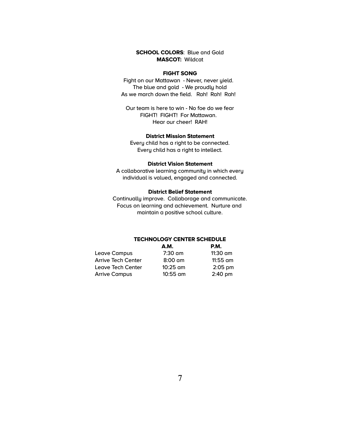# **SCHOOL COLORS**: Blue and Gold **MASCOT:** Wildcat

# **FIGHT SONG**

Fight on our Mattawan - Never, never yield. The blue and gold - We proudly hold As we march down the field. Rah! Rah! Rah!

Our team is here to win - No foe do we fear FIGHT! FIGHT! For Mattawan. Hear our cheer! RAH!

# **District Mission Statement**

Every child has a right to be connected. Every child has a right to intellect.

#### **District Vision Statement**

A collaborative learning community in which every individual is valued, engaged and connected.

# **District Belief Statement**

Continually improve. Collaborage and communicate. Focus on learning and achievement. Nurture and maintain a positive school culture.

# **TECHNOLOGY CENTER SCHEDULE**

|                           | <b>A.M.</b> | <b>P.M.</b>       |
|---------------------------|-------------|-------------------|
| Leave Campus              | $7:30$ am   | 11:30 am          |
| <b>Arrive Tech Center</b> | $8:00$ am   | 11:55 am          |
| Leave Tech Center         | $10:25$ am  | $2:05$ pm         |
| <b>Arrive Campus</b>      | $10:55$ am  | $2:40 \text{ pm}$ |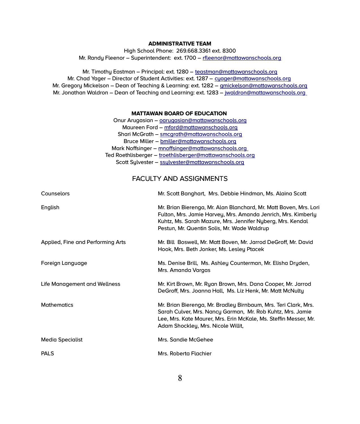# **ADMINISTRATIVE TEAM**

High School Phone: 269.668.3361 ext. 8300 Mr. Randy Fleenor – Superintendent: ext. 1700 – [rfleenor@mattawanschools.org](mailto:rfleenor@mattawanschools.org)

Mr. Timothy Eastman – Principal: ext. 1280 – [teastman@mattawanschools.org](mailto:teastman@mattawanschools.org) Mr. Chad Yager – Director of Student Activities: ext. 1287 – cuager@mattawanschools.org Mr. Gregory Mickelson – Dean of Teaching & Learning: ext. 1282 – [gmickelson@mattawanschools.org](mailto:gmickelson@mattawanschools.org) Mr. Jonathan Waldron – Dean of Teaching and Learning: ext. 1283 – [jwaldron@mattawanschools.org](mailto:jwaldron@mattawanschools.org)

# **MATTAWAN BOARD OF EDUCATION**

Onur Arugasian – [oarugasian@mattawanschools.org](mailto:oarugasian@mattawanschools.org) Maureen Ford – [mford@mattawanschools.org](mailto:mford@mattawanschools.org) Shari McGrath – [smcgrath@mattawanschools.org](mailto:smcgrath@mattawanschools.org) Bruce Miller – [bmiller@mattawanschools.org](mailto:bmiller@mattawanschools.org) Mark Noffsinger – [mnoffsinger@mattawanschools.org](mailto:mnoffsinger@mattawanschools.org) Ted Roethlisberger – [troethlisberger@mattawanschools.org](mailto:troethlisberger@mattawanschools.org) Scott Sylvester – [ssylvester@mattawanschools.org](mailto:ssylvester@mattawanschools.org)

# FACULTY AND ASSIGNMENTS

| Counselors                        | Mr. Scott Banghart, Mrs. Debbie Hindman, Ms. Alaina Scott                                                                                                                                                                                       |
|-----------------------------------|-------------------------------------------------------------------------------------------------------------------------------------------------------------------------------------------------------------------------------------------------|
| English                           | Mr. Brian Bierenga, Mr. Alan Blanchard, Mr. Matt Boven, Mrs. Lori<br>Fulton, Mrs. Jamie Harvey, Mrs. Amanda Jenrich, Mrs. Kimberly<br>Kuhtz, Ms. Sarah Mazure, Mrs. Jennifer Nyberg, Mrs. Kendal<br>Pestun, Mr. Quentin Solis, Mr. Wade Waldrup |
| Applied, Fine and Performing Arts | Mr. Bill Boswell, Mr. Matt Boven, Mr. Jarrod DeGroff, Mr. David<br>Hook, Mrs. Beth Jonker, Ms. Lesley Ptacek                                                                                                                                    |
| Foreign Language                  | Ms. Denise Brill, Ms. Ashley Counterman, Mr. Elisha Dryden,<br>Mrs. Amanda Vargas                                                                                                                                                               |
| Life Management and Wellness      | Mr. Kirt Brown, Mr. Ryan Brown, Mrs. Dana Cooper, Mr. Jarrod<br>DeGroff, Mrs. Joanna Hall, Ms. Liz Henk, Mr. Matt McNulty                                                                                                                       |
| <b>Mathematics</b>                | Mr. Brian Bierenga, Mr. Bradley Birnbaum, Mrs. Teri Clark, Mrs.<br>Sarah Culver, Mrs. Nancy Garman, Mr. Rob Kuhtz, Mrs. Jamie<br>Lee, Mrs. Kate Maurer, Mrs. Erin McKale, Ms. Steffin Messer, Mr.<br>Adam Shockley, Mrs. Nicole Willit,         |
| Media Specialist                  | Mrs. Sandie McGehee                                                                                                                                                                                                                             |
| <b>PALS</b>                       | Mrs. Roberta Flachier                                                                                                                                                                                                                           |
|                                   |                                                                                                                                                                                                                                                 |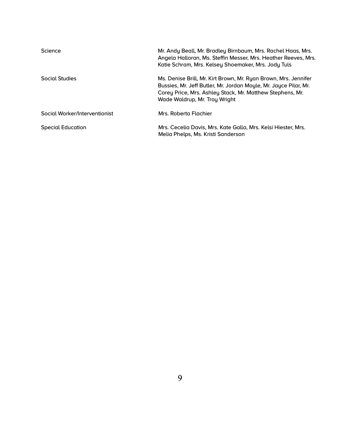| Science                       | Mr. Andy Beall, Mr. Bradley Birnbaum, Mrs. Rachel Haas, Mrs.<br>Angela Halloran, Ms. Steffin Messer, Mrs. Heather Reeves, Mrs.<br>Katie Schram, Mrs. Kelsey Shoemaker, Mrs. Jody Tuls                                             |
|-------------------------------|-----------------------------------------------------------------------------------------------------------------------------------------------------------------------------------------------------------------------------------|
| Social Studies                | Ms. Denise Brill, Mr. Kirt Brown, Mr. Ryan Brown, Mrs. Jennifer<br>Bussies, Mr. Jeff Butler, Mr. Jordan Moyle, Mr. Jayce Pilar, Mr.<br>Corey Price, Mrs. Ashley Stack, Mr. Matthew Stephens, Mr.<br>Wade Waldrup, Mr. Troy Wright |
| Social Worker/Interventionist | Mrs. Roberta Flachier                                                                                                                                                                                                             |
| <b>Special Education</b>      | Mrs. Cecelia Davis, Mrs. Kate Galla, Mrs. Kelsi Hiester, Mrs.<br>Melia Phelps, Ms. Kristi Sanderson                                                                                                                               |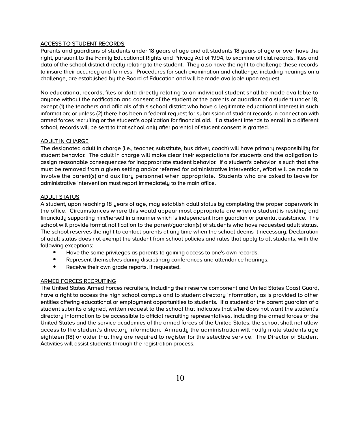# ACCESS TO STUDENT RECORDS

Parents and guardians of students under 18 years of age and all students 18 years of age or over have the right, pursuant to the Family Educational Rights and Privacy Act of 1994, to examine official records, files and data of the school district directly relating to the student. They also have the right to challenge these records to insure their accuracu and fairness. Procedures for such examination and challenge, including hearings on a challenge, are established by the Board of Education and will be made available upon request.

No educational records, files or data directly relating to an individual student shall be made available to anyone without the notification and consent of the student or the parents or guardian of a student under 18, except (1) the teachers and officials of this school district who have a legitimate educational interest in such information; or unless (2) there has been a federal request for submission of student records in connection with armed forces recruiting or the student's application for financial aid. If a student intends to enroll in a different school, records will be sent to that school only after parental of student consent is granted.

# ADULT IN CHARGE

The designated adult in charge (i.e., teacher, substitute, bus driver, coach) will have primary responsibility for student behavior. The adult in charge will make clear their expectations for students and the obligation to assign reasonable consequences for inappropriate student behavior. If a student's behavior is such that s/he must be removed from a given setting and/or referred for administrative intervention, effort will be made to involve the parent(s) and auxiliary personnel when appropriate. Students who are asked to leave for administrative intervention must report immediately to the main office.

# ADULT STATUS

A student, upon reaching 18 years of age, may establish adult status by completing the proper paperwork in the office. Circumstances where this would appear most appropriate are when a student is residing and financially supporting him/herself in a manner which is independent from guardian or parental assistance. The school will provide formal notification to the parent/guardian(s) of students who have requested adult status. The school reserves the right to contact parents at any time when the school deems it necessary. Declaration of adult status does not exempt the student from school policies and rules that apply to all students, with the following exceptions:

- Have the same privileges as parents to gaining access to one's own records.
- Represent themselves during disciplinary conferences and attendance hearings.
- Receive their own grade reports, if requested.

# ARMED FORCES RECRUITING

The United States Armed Forces recruiters, including their reserve component and United States Coast Guard, have a right to access the high school campus and to student directory information, as is provided to other entities offering educational or employment opportunities to students. If a student or the parent guardian of a student submits a signed, written request to the school that indicates that s/he does not want the student's directory information to be accessible to official recruiting representatives, including the armed forces of the United States and the service academies of the armed forces of the United States, the school shall not allow access to the student's directory information. Annually the administration will notify male students age eighteen (18) or older that they are required to register for the selective service. The Director of Student Activities will assist students through the registration process.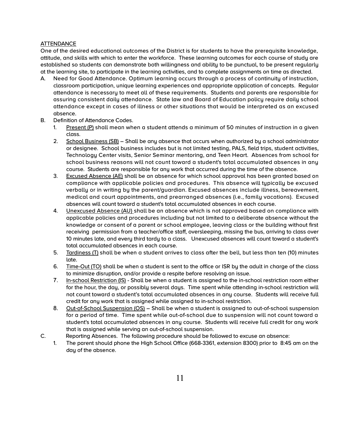# **ATTENDANCE**

One of the desired educational outcomes of the District is for students to have the prerequisite knowledge, attitude, and skills with which to enter the workforce. These learning outcomes for each course of study are established so students can demonstrate both willingness and ability to be punctual, to be present regularly at the learning site, to participate in the learning activities, and to complete assignments on time as directed.

- A. Need for Good Attendance. Optimum learning occurs through a process of continuity of instruction, classroom participation, unique learning experiences and appropriate application of concepts. Regular attendance is necessary to meet all of these requirements. Students and parents are responsible for assuring consistent daily attendance. State law and Board of Education policy require daily school attendance except in cases of illness or other situations that would be interpreted as an excused absence.
- B. Definition of Attendance Codes.
	- 1. Present (P) shall mean when a student attends a minimum of 50 minutes of instruction in a given class.
	- 2. School Business (SB) Shall be any absence that occurs when authorized by a school administrator or designee. School business includes but is not limited testing, PALS, field trips, student activities, Technology Center visits, Senior Seminar mentoring, and Teen Heart. Absences from school for school business reasons will not count toward a student's total accumulated absences in any course. Students are responsible for any work that occurred during the time of the absence.
	- 3. Excused Absence (AE) shall be an absence for which school approval has been granted based on compliance with applicable policies and procedures. This absence will typically be excused verbally or in writing by the parent/guardian. Excused absences include illness, bereavement, medical and court appointments, and prearranged absences (i.e., family vacations). Excused absences will count toward a student's total accumulated absences in each course.
	- 4. Unexcused Absence (AU) shall be an absence which is not approved based on compliance with applicable policies and procedures including but not limited to a deliberate absence without the knowledge or consent of a parent or school employee, leaving class or the building without first receiving permission from a teacher/office staff, oversleeping, missing the bus, arriving to class over 10 minutes late, and every third tardy to a class. Unexcused absences will count toward a student's total accumulated absences in each course.
	- 5. Tardiness (T) shall be when a student arrives to class after the bell, but less than ten (10) minutes late.
	- 6. Time-Out (TO) shall be when a student is sent to the office or ISR by the adult in charge of the class to minimize disruption, and/or provide a respite before resolving an issue.
	- 7. In-school Restriction (IS) Shall be when a student is assigned to the in-school restriction room either for the hour, the day, or possibly several days. Time spent while attending in-school restriction will not count toward a student's total accumulated absences in any course. Students will receive full credit for any work that is assigned while assigned to in-school restriction.
	- 8. Out-of-School Suspension (OS) Shall be when a student is assigned to out-of-school suspension for a period of time. Time spent while out-of-school due to suspension will not count toward a student's total accumulated absences in any course. Students will receive full credit for any work that is assigned while serving an out-of-school suspension.
- C. Reporting Absences. The following procedure should be followed to excuse an absence:
	- 1. The parent should phone the High School Office (668-3361, extension 8300) prior to 8:45 am on the day of the absence.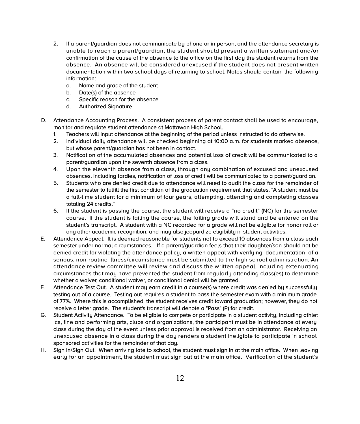- 2. If a parent/guardian does not communicate by phone or in person, and the attendance secretary is unable to reach a parent/guardian, the student should present a written statement and/or confirmation of the cause of the absence to the office on the first day the student returns from the absence. An absence will be considered unexcused if the student does not present written documentation within two school days of returning to school. Notes should contain the following information:
	- a. Name and grade of the student
	- b. Date(s) of the absence
	- c. Specific reason for the absence
	- d. Authorized Signature
- D. Attendance Accounting Process. A consistent process of parent contact shall be used to encourage, monitor and regulate student attendance at Mattawan High School.
	- 1. Teachers will input attendance at the beginning of the period unless instructed to do otherwise.
	- 2. Individual daily attendance will be checked beginning at 10:00 a.m. for students marked absence, but whose parent/guardian has not been in contact.
	- 3. Notification of the accumulated absences and potential loss of credit will be communicated to a parent/guardian upon the seventh absence from a class.
	- 4. Upon the eleventh absence from a class, through any combination of excused and unexcused absences, including tardies, notification of loss of credit will be communicated to a parent/guardian.
	- 5. Students who are denied credit due to attendance will need to audit the class for the remainder of the semester to fulfill the first condition of the graduation requirement that states, "A student must be a full-time student for a minimum of four years, attempting, attending and completing classes totaling 24 credits."
	- 6. If the student is passing the course, the student will receive a "no credit" (NC) for the semester course. If the student is failing the course, the failing grade will stand and be entered on the student's transcript. A student with a NC recorded for a grade will not be eligible for honor roll or any other academic recognition, and may also jeopardize eligibility in student activities.
- E. Attendance Appeal. It is deemed reasonable for students not to exceed 10 absences from a class each semester under normal circumstances. If a parent/guardian feels that their daughter/son should not be denied credit for violating the attendance policy, a written appeal with verifying documentation of a serious, non-routine illness/circumstance must be submitted to the high school administration. An attendance review committee will review and discuss the written appeal, including extenuating circumstances that may have prevented the student from regularly attending class(es) to determine whether a waiver, conditional waiver, or conditional denial will be granted.
- F. Attendance Test Out. A student may earn credit in a course(s) where credit was denied by successfully testing out of a course. Testing out requires a student to pass the semester exam with a minimum grade of 77%. Where this is accomplished, the student receives credit toward graduation; however, they do not receive a letter grade. The student's transcript will denote a "Pass" (P) for credit.
- G. Student Activity Attendance. To be eligible to compete or participate in a student activity, including athlet ics, fine and performing arts, clubs and organizations, the participant must be in attendance at every class during the day of the event unless prior approval is received from an administrator. Receiving an unexcused absence in a class during the day renders a student ineligible to participate in school sponsored activities for the remainder of that day.
- H. Sign In/Sign Out. When arriving late to school, the student must sign in at the main office. When leaving early for an appointment, the student must sign out at the main office. Verification of the student's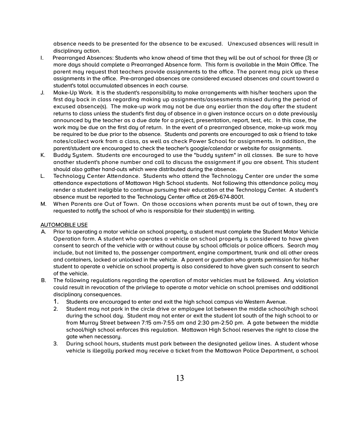absence needs to be presented for the absence to be excused. Unexcused absences will result in disciplinary action.

- I. Prearranged Absences: Students who know ahead of time that they will be out of school for three (3) or more days should complete a Prearranged Absence form. This form is available in the Main Office. The parent may request that teachers provide assignments to the office. The parent may pick up these assignments in the office. Pre-arranged absences are considered excused absences and count toward a student's total accumulated absences in each course.
- J. Make-Up Work. It is the student's responsibility to make arrangements with his/her teachers upon the first day back in class regarding making up assignments/assessments missed during the period of excused absence(s). The make-up work may not be due any earlier than the day after the student returns to class unless the student's first day of absence in a given instance occurs on a date previously announced by the teacher as a due date for a project, presentation, report, test, etc. In this case, the work may be due on the first day of return. In the event of a prearranged absence, make-up work may be required to be due prior to the absence. Students and parents are encouraged to ask a friend to take notes/collect work from a class, as well as check Power School for assignments. In addition, the parent/student are encouraged to check the teacher's google/calendar or website for assignments.
- K. Buddy System. Students are encouraged to use the "buddy system" in all classes. Be sure to have another student's phone number and call to discuss the assignment if you are absent. This student should also gather hand-outs which were distributed during the absence.
- L. Technology Center Attendance. Students who attend the Technology Center are under the same attendance expectations of Mattawan High School students. Not following this attendance policy may render a student ineligible to continue pursuing their education at the Technology Center. A student's absence must be reported to the Technology Center office at 269-674-8001.
- M. When Parents are Out of Town. On those occasions when parents must be out of town, they are requested to notify the school of who is responsible for their student(s) in writing.

#### AUTOMOBILE USE

- A. Prior to operating a motor vehicle on school property, a student must complete the Student Motor Vehicle Operation form. A student who operates a vehicle on school property is considered to have given consent to search of the vehicle with or without cause by school officials or police officers. Search may include, but not limited to, the passenger compartment, engine compartment, trunk and all other areas and containers, locked or unlocked in the vehicle. A parent or guardian who grants permission for his/her student to operate a vehicle on school property is also considered to have given such consent to search of the vehicle.
- B. The following regulations regarding the operation of motor vehicles must be followed. Any violation could result in revocation of the privilege to operate a motor vehicle on school premises and additional disciplinary consequences.
	- 1. Students are encouraged to enter and exit the high school campus via Western Avenue.
	- 2. Student may not park in the circle drive or employee lot between the middle school/high school during the school day. Student may not enter or exit the student lot south of the high school to or from Murray Street between 7:15 am-7:55 am and 2:30 pm-2:50 pm. A gate between the middle school/high school enforces this regulation. Mattawan High School reserves the right to close the gate when necessary.
	- 3. During school hours, students must park between the designated yellow lines. A student whose vehicle is illegally parked may receive a ticket from the Mattawan Police Department, a school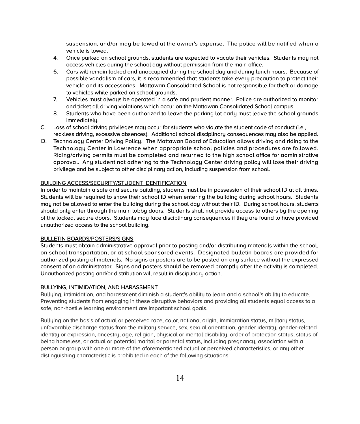suspension, and/or may be towed at the owner's expense. The police will be notified when a vehicle is towed.

- 4. Once parked on school grounds, students are expected to vacate their vehicles. Students may not access vehicles during the school day without permission from the main office.
- 6. Cars will remain locked and unoccupied during the school day and during lunch hours. Because of possible vandalism of cars, it is recommended that students take every precaution to protect their vehicle and its accessories. Mattawan Consolidated School is not responsible for theft or damage to vehicles while parked on school grounds.
- 7. Vehicles must alwaus be operated in a safe and prudent manner. Police are authorized to monitor and ticket all driving violations which occur on the Mattawan Consolidated School campus.
- 8. Students who have been authorized to leave the parking lot early must leave the school grounds immediately.
- C. Loss of school driving privileges may occur for students who violate the student code of conduct (i.e., reckless driving, excessive absences). Additional school disciplinary consequences may also be applied.
- D. Technology Center Driving Policy. The Mattawan Board of Education allows driving and riding to the Technology Center in Lawrence when appropriate school policies and procedures are followed. Riding/driving permits must be completed and returned to the high school office for administrative approval. Any student not adhering to the Technology Center driving policy will lose their driving privilege and be subject to other disciplinary action, including suspension from school.

# BUILDING ACCESS/SECURITY/STUDENT IDENTIFICATION

In order to maintain a safe and secure building, students must be in possession of their school ID at all times. Students will be required to show their school ID when entering the building during school hours. Students may not be allowed to enter the building during the school day without their ID. During school hours, students should only enter through the main lobby doors. Students shall not provide access to others by the opening of the locked, secure doors. Students may face disciplinary consequences if they are found to have provided unauthorized access to the school building.

# BULLETIN BOARDS/POSTERS/SIGNS

Students must obtain administrative approval prior to posting and/or distributing materials within the school, on school transportation, or at school sponsored events. Designated bulletin boards are provided for authorized posting of materials. No signs or posters are to be posted on any surface without the expressed consent of an administrator. Signs and posters should be removed promptly after the activity is completed. Unauthorized posting and/or distribution will result in disciplinary action.

# BULLYING, INTIMIDATION, AND HARASSMENT

Bullying, intimidation, and harassment diminish a student's ability to learn and a school's ability to educate. Preventing students from engaging in these disruptive behaviors and providing all students equal access to a safe, non-hostile learning environment are important school goals.

Bullying on the basis of actual or perceived race, color, national origin, immigration status, military status, unfavorable discharge status from the military service, sex, sexual orientation, gender identity, gender-related identity or expression, ancestry, age, religion, physical or mental disability, order of protection status, status of being homeless, or actual or potential marital or parental status, including pregnancy, association with a person or group with one or more of the aforementioned actual or perceived characteristics, or any other distinguishing characteristic is prohibited in each of the following situations: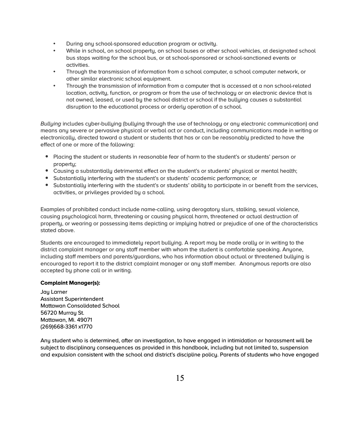- During any school-sponsored education program or activity.
- While in school, on school property, on school buses or other school vehicles, at designated school bus stops waiting for the school bus, or at school-sponsored or school-sanctioned events or activities.
- Through the transmission of information from a school computer, a school computer network, or other similar electronic school equipment.
- Through the transmission of information from a computer that is accessed at a non school-related location, activity, function, or program or from the use of technology or an electronic device that is not owned, leased, or used by the school district or school if the bullying causes a substantial disruption to the educational process or orderly operation of a school.

*Bullying* includes cyber-bullying (bullying through the use of technology or any electronic communication) and means any severe or pervasive physical or verbal act or conduct, including communications made in writing or electronically, directed toward a student or students that has or can be reasonably predicted to have the effect of one or more of the following:

- Placing the student or students in reasonable fear of harm to the student's or students' person or property;
- Causing a substantially detrimental effect on the student's or students' physical or mental health;
- Substantially interfering with the student's or students' academic performance; or
- Substantially interfering with the student's or students' ability to participate in or benefit from the services, activities, or privileges provided by a school.

Examples of prohibited conduct include name-calling, using derogatory slurs, stalking, sexual violence, causing psychological harm, threatening or causing physical harm, threatened or actual destruction of property, or wearing or possessing items depicting or implying hatred or prejudice of one of the characteristics stated above.

Students are encouraged to immediately report bullying. A report may be made orally or in writing to the district complaint manager or any staff member with whom the student is comfortable speaking. Anyone, including staff members and parents/guardians, who has information about actual or threatened bullying is encouraged to report it to the district complaint manager or any staff member. Anonymous reports are also accepted by phone call or in writing.

# **Complaint Manager(s):**

Jau Larner Assistant Superintendent Mattawan Consolidated School 56720 Murrau St. Mattawan, Mi. 49071 (269)668-3361 x1770

Any student who is determined, after an investigation, to have engaged in intimidation or harassment will be subject to disciplinary consequences as provided in this handbook, including but not limited to, suspension and expulsion consistent with the school and district's discipline policy. Parents of students who have engaged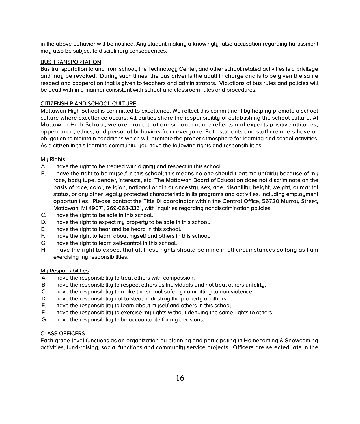in the above behavior will be notified. Any student making a knowingly false accusation regarding harassment may also be subject to disciplinary consequences.

# BUS TRANSPORTATION

Bus transportation to and from school, the Technology Center, and other school related activities is a privilege and may be revoked. During such times, the bus driver is the adult in charge and is to be given the same respect and cooperation that is given to teachers and administrators. Violations of bus rules and policies will be dealt with in a manner consistent with school and classroom rules and procedures.

#### CITIZENSHIP AND SCHOOL CULTURE

Mattawan High School is committed to excellence. We reflect this commitment by helping promote a school culture where excellence occurs. All parties share the responsibility of establishing the school culture. At Mattawan High School, we are proud that our school culture reflects and expects positive attitudes, appearance, ethics, and personal behaviors from everyone. Both students and staff members have an obligation to maintain conditions which will promote the proper atmosphere for learning and school activities. As a citizen in this learning community you have the following rights and responsibilities:

#### Mu Rights

- A. I have the right to be treated with dignity and respect in this school.
- B. I have the right to be myself in this school; this means no one should treat me unfairly because of my race, body type, gender, interests, etc. The Mattawan Board of Education does not discriminate on the basis of race, color, religion, national origin or ancestry, sex, age, disability, height, weight, or marital status, or any other legally protected characteristic in its programs and activities, including employment opportunities. Please contact the Title IX coordinator within the Central Office, 56720 Murray Street, Mattawan, MI 49071, 269-668-3361, with inquiries regarding nondiscrimination policies.
- C. I have the right to be safe in this school.
- D. I have the right to expect my property to be safe in this school.
- E. I have the right to hear and be heard in this school.
- F. I have the right to learn about myself and others in this school.
- G. I have the right to learn self-control in this school.
- H. I have the right to expect that all these rights should be mine in all circumstances so long as I am exercising my responsibilities.

#### My Responsibilities

- A. I have the responsibility to treat others with compassion.
- B. I have the responsibility to respect others as individuals and not treat others unfairly.
- C. I have the responsibility to make the school safe by committing to non-violence.
- D. I have the responsibility not to steal or destroy the property of others.
- E. I have the responsibility to learn about myself and others in this school.
- F. I have the responsibility to exercise my rights without denying the same rights to others.
- G. I have the responsibility to be accountable for my decisions.

#### CLASS OFFICERS

Each grade level functions as an organization by planning and participating in Homecoming & Snowcoming activities, fund-raising, social functions and community service projects. Officers are selected late in the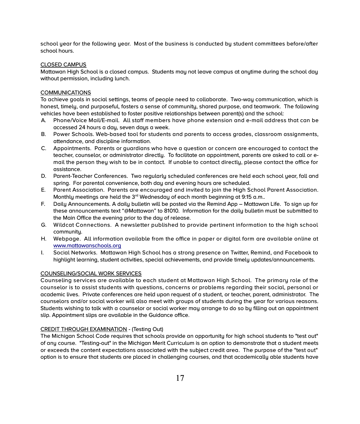school year for the following year. Most of the business is conducted by student committees before/after school hours.

# CLOSED CAMPUS

Mattawan High School is a closed campus. Students may not leave campus at anytime during the school day without permission, including lunch.

# **COMMUNICATIONS**

To achieve goals in social settings, teams of people need to collaborate. Two-way communication, which is honest, timely, and purposeful, fosters a sense of community, shared purpose, and teamwork. The following vehicles have been established to foster positive relationships between parent(s) and the school:

- A. Phone/Voice Mail/E-mail. All staff members have phone extension and e-mail address that can be accessed 24 hours a day, seven days a week.
- B. Power Schools. Web-based tool for students and parents to access grades, classroom assignments, attendance, and discipline information.
- C. Appointments. Parents or guardians who have a question or concern are encouraged to contact the teacher, counselor, or administrator directly. To facilitate an appointment, parents are asked to call or email the person they wish to be in contact. If unable to contact directly, please contact the office for assistance.
- D. Parent-Teacher Conferences. Two regularly scheduled conferences are held each school year, fall and spring. For parental convenience, both day and evening hours are scheduled.
- E. Parent Association. Parents are encouraged and invited to join the High School Parent Association. Monthly meetings are held the  $3<sup>rd</sup>$  Wednesday of each month beginning at 9:15 a.m..
- F. Daily Announcements. A daily bulletin will be posted via the Remind App Mattawan Life. To sign up for these announcements text "@Mattawan" to 81010. Information for the daily bulletin must be submitted to the Main Office the evening prior to the day of release.
- G. Wildcat Connections. A newsletter published to provide pertinent information to the high school community.
- H. Webpage. All information available from the office in paper or digital form are available online at [www.mattawanschools.org](http://www.mattawanschools.org/)
- I. Social Networks. Mattawan High School has a strong presence on Twitter, Remind, and Facebook to highlight learning, student activities, special achievements, and provide timely updates/announcements.

# COUNSELING/SOCIAL WORK SERVICES

Counseling services are available to each student at Mattawan High School. The primary role of the counselor is to assist students with questions, concerns or problems regarding their social, personal or academic lives. Private conferences are held upon request of a student, or teacher, parent, administrator. The counselors and/or social worker will also meet with groups of students during the year for various reasons. Students wishing to talk with a counselor or social worker may arrange to do so by filling out an appointment slip. Appointment slips are available in the Guidance office.

# CREDIT THROUGH EXAMINATION - (Testing Out)

The Michigan School Code requires that schools provide an opportunity for high school students to "test out" of any course. "Testing-out" in the Michigan Merit Curriculum is an option to demonstrate that a student meets or exceeds the content expectations associated with the subject credit area. The purpose of the "test out" option is to ensure that students are placed in challenging courses, and that academically able students have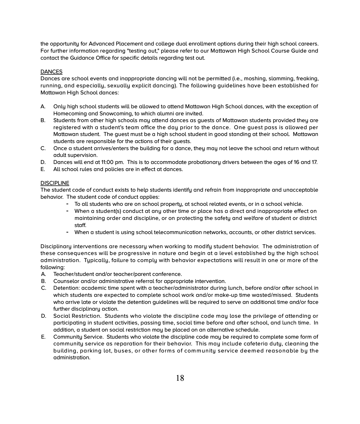the opportunity for Advanced Placement and college dual enrollment options during their high school careers. For further information regarding "testing out," please refer to our Mattawan High School Course Guide and contact the Guidance Office for specific details regarding test out.

# **DANCES**

Dances are school events and inappropriate dancing will not be permitted (i.e., moshing, slamming, freaking, running, and especially, sexually explicit dancing). The following guidelines have been established for Mattawan High School dances:

- A. Only high school students will be allowed to attend Mattawan High School dances, with the exception of Homecoming and Snowcoming, to which alumni are invited.
- B. Students from other high schools may attend dances as guests of Mattawan students provided they are registered with a student's team office the day prior to the dance. One guest pass is allowed per Mattawan student. The guest must be a high school student in good standing at their school. Mattawan students are responsible for the actions of their guests.
- C. Once a student arrives/enters the building for a dance, they may not leave the school and return without adult supervision.
- D. Dances will end at 11:00 pm. This is to accommodate probationary drivers between the ages of 16 and 17.
- E. All school rules and policies are in effect at dances.

# **DISCIPLINE**

The student code of conduct exists to help students identify and refrain from inappropriate and unacceptable behavior. The student code of conduct applies:

- To all students who are on school property, at school related events, or in a school vehicle.
- When a student(s) conduct at any other time or place has a direct and inappropriate effect on maintaining order and discipline, or on protecting the safety and welfare of student or district staff.
- When a student is using school telecommunication networks, accounts, or other district services.

Disciplinary interventions are necessary when working to modify student behavior. The administration of these consequences will be progressive in nature and begin at a level established by the high school administration. Typically, failure to comply with behavior expectations will result in one or more of the following:

- A. Teacher/student and/or teacher/parent conference.
- B. Counselor and/or administrative referral for appropriate intervention.
- C. Detention: academic time spent with a teacher/administrator during lunch, before and/or after school in which students are expected to complete school work and/or make-up time wasted/missed. Students who arrive late or violate the detention guidelines will be required to serve an additional time and/or face further disciplinary action.
- D. Social Restriction. Students who violate the discipline code may lose the privilege of attending or participating in student activities, passing time, social time before and after school, and lunch time. In addition, a student on social restriction may be placed on an alternative schedule.
- E. Community Service. Students who violate the discipline code may be required to complete some form of community service as reparation for their behavior. This may include cafeteria duty, cleaning the building, parking lot, buses, or other forms of community service deemed reasonable by the administration.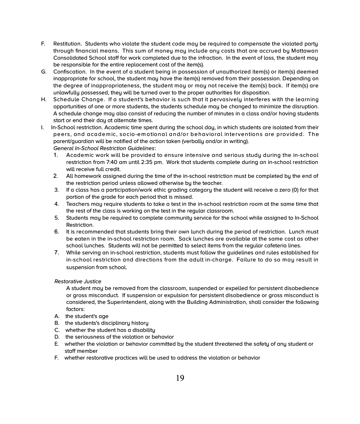- F. Restitution. Students who violate the student code may be required to compensate the violated party through financial means. This sum of money may include any costs that are accrued by Mattawan Consolidated School staff for work completed due to the infraction. In the event of loss, the student may be responsible for the entire replacement cost of the item(s).
- G. Confiscation. In the event of a student being in possession of unauthorized item(s) or item(s) deemed inappropriate for school, the student may have the item(s) removed from their possession. Depending on the degree of inappropriateness, the student may or may not receive the item(s) back. If item(s) are unlawfully possessed, they will be turned over to the proper authorities for disposition.
- H. Schedule Change. If a student's behavior is such that it pervasively interferes with the learning opportunities of one or more students, the students schedule may be changed to minimize the disruption. A schedule change may also consist of reducing the number of minutes in a class and/or having students start or end their day at alternate times.
- I. In-School restriction. Academic time spent during the school day, in which students are isolated from their peers, and academ ic, socio-em otional and/or behavioral interventions are provided. The parent/guardian will be notified of the action taken (verbally and/or in writing). *General In-School Restriction Guidelines*:
	- 1. Academic work will be provided to ensure intensive and serious study during the in-school restriction from 7:40 am until 2:35 pm. Work that students complete during an in-school restriction will receive full credit.
	- 2. All homework assigned during the time of the in-school restriction must be completed by the end of the restriction period unless allowed otherwise by the teacher.
	- 3. If a class has a participation/work ethic grading category the student will receive a zero (0) for that portion of the grade for each period that is missed.
	- 4. Teachers may require students to take a test in the in-school restriction room at the same time that the rest of the class is working on the test in the regular classroom.
	- 5. Students may be required to complete community service for the school while assigned to In-School Restriction.
	- 6. It is recommended that students bring their own lunch during the period of restriction. Lunch must be eaten in the in-school restriction room. Sack lunches are available at the same cost as other school lunches. Students will not be permitted to select items from the regular cafeteria lines.
	- 7. While serving an in-school restriction, students must follow the guidelines and rules established for in-school restriction and directions from the adult in-charge. Failure to do so may result in suspension from school.

# *Restorative Justice*

A student may be removed from the classroom, suspended or expelled for persistent disobedience or gross misconduct. If suspension or expulsion for persistent disobedience or gross misconduct is considered, the Superintendent, along with the Building Administration, shall consider the following factors:

- A. the student's age
- B. the students's disciplinary history
- C. whether the student has a disability
- D. the seriousness of the violation or behavior
- E. whether the violation or behavior committed by the student threatened the safety of any student or staff member
- F. whether restorative practices will be used to address the violation or behavior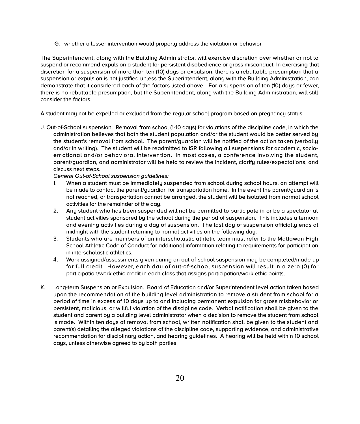G. whether a lesser intervention would properly address the violation or behavior

The Superintendent, along with the Building Administrator, will exercise discretion over whether or not to suspend or recommend expulsion a student for persistent disobedience or gross misconduct. In exercising that discretion for a suspension of more than ten (10) days or expulsion, there is a rebuttable presumption that a suspension or expulsion is not justified unless the Superintendent, along with the Building Administration, can demonstrate that it considered each of the factors listed above. For a suspension of ten (10) days or fewer, there is no rebuttable presumption, but the Superintendent, along with the Building Administration, will still consider the factors.

A student may not be expelled or excluded from the regular school program based on pregnancy status.

J. Out-of-School suspension. Removal from school (1-10 days) for violations of the discipline code, in which the administration believes that both the student population and/or the student would be better served by the student's removal from school. The parent/guardian will be notified of the action taken (verbally and/or in writing). The student will be readmitted to ISR following all suspensions for academic, socioemotional and/or behavioral intervention. In most cases, a conference involving the student, parent/guardian, and administrator will be held to review the incident, clarify rules/expectations, and discuss next steps.

*General Out-of-School suspension guidelines:*

- 1. When a student must be immediately suspended from school during school hours, an attempt will be made to contact the parent/guardian for transportation home. In the event the parent/guardian is not reached, or transportation cannot be arranged, the student will be isolated from normal school activities for the remainder of the day.
- 2. Any student who has been suspended will not be permitted to participate in or be a spectator at student activities sponsored by the school during the period of suspension. This includes afternoon and evening activities during a day of suspension. The last day of suspension officially ends at midnight with the student returning to normal activities on the following day.
- 3. Students who are members of an interscholastic athletic team must refer to the Mattawan High School Athletic Code of Conduct for additional information relating to requirements for participation in interscholastic athletics.
- 4. Work assigned/assessments given during an out-of-school suspension may be completed/made-up for full credit. However, each day of out-of-school suspension will result in a zero (0) for participation/work ethic credit in each class that assigns participation/work ethic points.
- K. Long-term Suspension or Expulsion. Board of Education and/or Superintendent level action taken based upon the recommendation of the building level administration to remove a student from school for a period of time in excess of 10 days up to and including permanent expulsion for gross misbehavior or persistent, malicious, or willful violation of the discipline code. Verbal notification shall be given to the student and parent by a building level administrator when a decision to remove the student from school is made. Within ten days of removal from school, written notification shall be given to the student and parent(s) detailing the alleged violations of the discipline code, supporting evidence, and administrative recommendation for disciplinary action, and hearing guidelines. A hearing will be held within 10 school days, unless otherwise agreed to by both parties.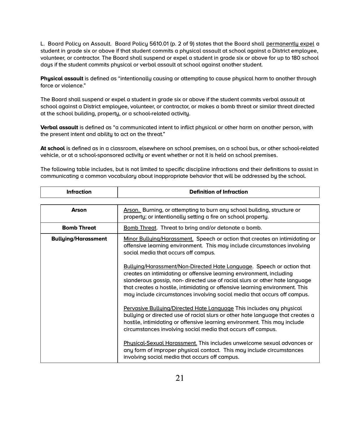L. Board Policy on Assault. Board Policy 5610.01 (p. 2 of 9) states that the Board shall permanently expel a student in grade six or above if that student commits a physical assault at school against a District employee, volunteer, or contractor. The Board shall suspend or expel a student in grade six or above for up to 180 school days if the student commits physical or verbal assault at school against another student.

**Physical assault** is defined as "intentionally causing or attempting to cause physical harm to another through force or violence."

The Board shall suspend or expel a student in grade six or above if the student commits verbal assault at school against a District employee, volunteer, or contractor, or makes a bomb threat or similar threat directed at the school building, property, or a school-related activity.

**Verbal assault** is defined as "a communicated intent to inflict physical or other harm on another person, with the present intent and ability to act on the threat."

**At school** is defined as in a classroom, elsewhere on school premises, on a school bus, or other school-related vehicle, or at a school-sponsored activity or event whether or not it is held on school premises.

The following table includes, but is not limited to specific discipline infractions and their definitions to assist in communicating a common vocabulary about inappropriate behavior that will be addressed by the school.

| <b>Infraction</b>          | <b>Definition of Infraction</b>                                                                                                                                                                                                                                                                                                                                                         |  |
|----------------------------|-----------------------------------------------------------------------------------------------------------------------------------------------------------------------------------------------------------------------------------------------------------------------------------------------------------------------------------------------------------------------------------------|--|
|                            |                                                                                                                                                                                                                                                                                                                                                                                         |  |
| Arson                      | Arson. Burning, or attempting to burn any school building, structure or<br>property; or intentionally setting a fire on school property.                                                                                                                                                                                                                                                |  |
| <b>Bomb Threat</b>         | Bomb Threat. Threat to bring and/or detonate a bomb.                                                                                                                                                                                                                                                                                                                                    |  |
| <b>Bullying/Harassment</b> | Minor Bullying/Harassment. Speech or action that creates an intimidating or<br>offensive learning environment. This may include circumstances involving<br>social media that occurs off campus.                                                                                                                                                                                         |  |
|                            | Bullying/Harassment/Non-Directed Hate Language. Speech or action that<br>creates an intimidating or offensive learning environment, including<br>slanderous gossip, non-directed use of racial slurs or other hate language<br>that creates a hostile, intimidating or offensive learning environment. This<br>may include circumstances involving social media that occurs off campus. |  |
|                            | Pervasive Bullying/Directed Hate Language This includes any physical<br>bullying or directed use of racial slurs or other hate language that creates a<br>hostile, intimidating or offensive learning environment. This may include<br>circumstances involving social media that occurs off campus.                                                                                     |  |
|                            | Physical-Sexual Harassment. This includes unwelcome sexual advances or<br>any form of improper physical contact. This may include circumstances<br>involving social media that occurs off campus.                                                                                                                                                                                       |  |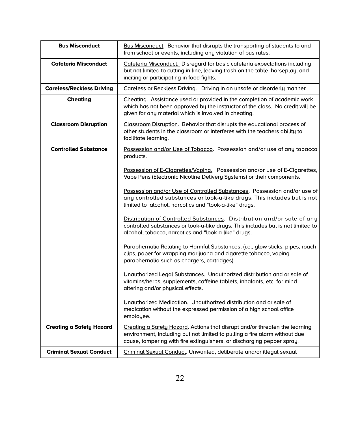| <b>Bus Misconduct</b>            | Bus Misconduct. Behavior that disrupts the transporting of students to and<br>from school or events, including any violation of bus rules.                                                                                          |
|----------------------------------|-------------------------------------------------------------------------------------------------------------------------------------------------------------------------------------------------------------------------------------|
| <b>Cafeteria Misconduct</b>      | Cafeteria Misconduct. Disregard for basic cafeteria expectations including<br>but not limited to cutting in line, leaving trash on the table, horseplay, and<br>inciting or participating in food fights.                           |
| <b>Careless/Reckless Driving</b> | Careless or Reckless Driving. Driving in an unsafe or disorderly manner.                                                                                                                                                            |
| <b>Cheating</b>                  | Cheating. Assistance used or provided in the completion of academic work<br>which has not been approved by the instructor of the class. No credit will be<br>given for any material which is involved in cheating.                  |
| <b>Classroom Disruption</b>      | Classroom Disruption. Behavior that disrupts the educational process of<br>other students in the classroom or interferes with the teachers ability to<br>facilitate learning.                                                       |
| <b>Controlled Substance</b>      | Possession and/or Use of Tobacco. Possession and/or use of any tobacco<br>products.                                                                                                                                                 |
|                                  | Possession of E-Cigarettes/Vaping. Possession and/or use of E-Cigarettes,<br>Vape Pens (Electronic Nicotine Delivery Systems) or their components.                                                                                  |
|                                  | Possession and/or Use of Controlled Substances. Possession and/or use of<br>any controlled substances or look-a-like drugs. This includes but is not<br>limited to alcohol, narcotics and "look-a-like" drugs.                      |
|                                  | Distribution of Controlled Substances. Distribution and/or sale of any<br>controlled substances or look-a-like drugs. This includes but is not limited to<br>alcohol, tobacco, narcotics and "look-a-like" drugs.                   |
|                                  | Paraphernalia Relating to Harmful Substances. (i.e., glow sticks, pipes, roach<br>clips, paper for wrapping marijuana and cigarette tobacco, vaping<br>paraphernalia such as chargers, cartridges)                                  |
|                                  | Unauthorized Legal Substances. Unauthorized distribution and or sale of<br>vitamins/herbs, supplements, caffeine tablets, inhalants, etc. for mind<br>altering and/or physical effects.                                             |
|                                  | Unauthorized Medication. Unauthorized distribution and or sale of<br>medication without the expressed permission of a high school office<br>employee.                                                                               |
| <b>Creating a Safety Hazard</b>  | Creating a Safety Hazard. Actions that disrupt and/or threaten the learning<br>environment, including but not limited to pulling a fire alarm without due<br>cause, tampering with fire extinguishers, or discharging pepper spray. |
| <b>Criminal Sexual Conduct</b>   | Criminal Sexual Conduct. Unwanted, deliberate and/or illegal sexual                                                                                                                                                                 |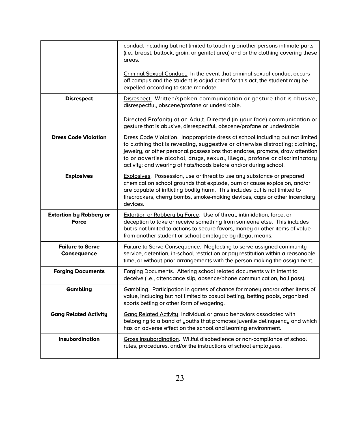|                                                | conduct including but not limited to touching another persons intimate parts<br>(i.e., breast, buttock, groin, or genital area) and or the clothing covering these<br>areas.                                                                                                                                                                                                                     |
|------------------------------------------------|--------------------------------------------------------------------------------------------------------------------------------------------------------------------------------------------------------------------------------------------------------------------------------------------------------------------------------------------------------------------------------------------------|
|                                                | Criminal Sexual Conduct. In the event that criminal sexual conduct occurs<br>off campus and the student is adjudicated for this act, the student may be<br>expelled according to state mandate.                                                                                                                                                                                                  |
| <b>Disrespect</b>                              | Disrespect. Written/spoken communication or gesture that is abusive,<br>disrespectful, obscene/profane or undesirable.                                                                                                                                                                                                                                                                           |
|                                                | Directed Profanity at an Adult. Directed (in your face) communication or<br>gesture that is abusive, disrespectful, obscene/profane or undesirable.                                                                                                                                                                                                                                              |
| <b>Dress Code Violation</b>                    | Dress Code Violation. Inappropriate dress at school including but not limited<br>to clothing that is revealing, suggestive or otherwise distracting; clothing,<br>jewelry, or other personal possessions that endorse, promote, draw attention<br>to or advertise alcohol, drugs, sexual, illegal, profane or discriminatory<br>activity; and wearing of hats/hoods before and/or during school. |
| <b>Explosives</b>                              | <b>Explosives.</b> Possession, use or threat to use any substance or prepared<br>chemical on school grounds that explode, burn or cause explosion, and/or<br>are capable of inflicting bodily harm. This includes but is not limited to<br>firecrackers, cherry bombs, smoke-making devices, caps or other incendiary<br>devices.                                                                |
| <b>Extortion by Robbery or</b><br><b>Force</b> | Extortion or Robbery by Force. Use of threat, intimidation, force, or<br>deception to take or receive something from someone else. This includes<br>but is not limited to actions to secure favors, money or other items of value<br>from another student or school employee by illegal means.                                                                                                   |
| <b>Failure to Serve</b><br>Consequence         | Failure to Serve Consequence. Neglecting to serve assigned community<br>service, detention, in-school restriction or pay restitution within a reasonable<br>time, or without prior arrangements with the person making the assignment.                                                                                                                                                           |
| <b>Forging Documents</b>                       | <b>Forging Documents. Altering school related documents with intent to</b><br>deceive (i.e., attendance slip, absence/phone communication, hall pass).                                                                                                                                                                                                                                           |
| Gambling                                       | Gambling. Participation in games of chance for money and/or other items of<br>value, including but not limited to casual betting, betting pools, organized<br>sports betting or other form of wagering.                                                                                                                                                                                          |
| <b>Gang Related Activity</b>                   | Gang Related Activity. Individual or group behaviors associated with<br>belonging to a band of youths that promotes juvenile delinguency and which<br>has an adverse effect on the school and learning environment.                                                                                                                                                                              |
| <b>Insubordination</b>                         | Gross Insubordination. Willful disobedience or non-compliance of school<br>rules, procedures, and/or the instructions of school employees.                                                                                                                                                                                                                                                       |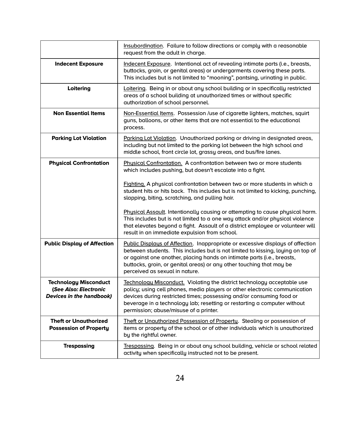|                                                                                          | Insubordination. Failure to follow directions or comply with a reasonable<br>request from the adult in charge.                                                                                                                                                                                                                                         |
|------------------------------------------------------------------------------------------|--------------------------------------------------------------------------------------------------------------------------------------------------------------------------------------------------------------------------------------------------------------------------------------------------------------------------------------------------------|
| <b>Indecent Exposure</b>                                                                 | Indecent Exposure. Intentional act of revealing intimate parts (i.e., breasts,<br>buttocks, groin, or genital areas) or undergarments covering these parts.<br>This includes but is not limited to "mooning", pantsing, urinating in public.                                                                                                           |
| Loitering                                                                                | Loitering. Being in or about any school building or in specifically restricted<br>areas of a school building at unauthorized times or without specific<br>authorization of school personnel.                                                                                                                                                           |
| <b>Non Essential Items</b>                                                               | Non-Essential Items. Possession /use of cigarette lighters, matches, squirt<br>guns, balloons, or other items that are not essential to the educational<br>process.                                                                                                                                                                                    |
| <b>Parking Lot Violation</b>                                                             | Parking Lot Violation. Unauthorized parking or driving in designated areas,<br>including but not limited to the parking lot between the high school and<br>middle school, front circle lot, grassy areas, and bus/fire lanes.                                                                                                                          |
| <b>Physical Confrontation</b>                                                            | Physical Confrontation. A confrontation between two or more students<br>which includes pushing, but doesn't escalate into a fight.                                                                                                                                                                                                                     |
|                                                                                          | Fighting. A physical confrontation between two or more students in which a<br>student hits or hits back. This includes but is not limited to kicking, punching,<br>slapping, biting, scratching, and pulling hair.                                                                                                                                     |
|                                                                                          | Physical Assault. Intentionally causing or attempting to cause physical harm.<br>This includes but is not limited to a one way attack and/or physical violence<br>that elevates beyond a fight. Assault of a district employee or volunteer will<br>result in an immediate expulsion from school.                                                      |
| <b>Public Display of Affection</b>                                                       | Public Displays of Affection. Inappropriate or excessive displays of affection<br>between students. This includes but is not limited to kissing, laying on top of<br>or against one another, placing hands on intimate parts (i.e., breasts,<br>buttocks, groin, or genital areas) or any other touching that may be<br>perceived as sexual in nature. |
| <b>Technology Misconduct</b><br>(See Also: Electronic<br><b>Devices in the handbook)</b> | Technology Misconduct. Violating the district technology acceptable use<br>policy; using cell phones, media players or other electronic communication<br>devices during restricted times; possessing and/or consuming food or<br>beverage in a technology lab; resetting or restarting a computer without<br>permission; abuse/misuse of a printer.    |
| <b>Theft or Unauthorized</b><br><b>Possession of Property</b>                            | Theft or Unguthorized Possession of Property. Stealing or possession of<br>items or property of the school or of other individuals which is unauthorized<br>by the rightful owner.                                                                                                                                                                     |
| <b>Trespassing</b>                                                                       | Trespassing. Being in or about any school building, vehicle or school related<br>activity when specifically instructed not to be present.                                                                                                                                                                                                              |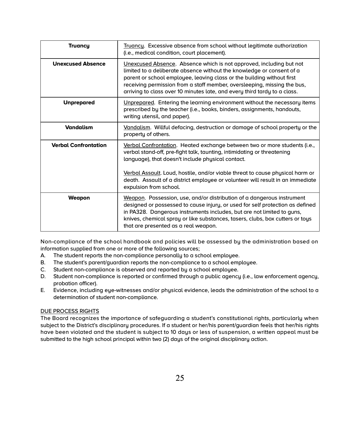| <b>Truancy</b>              | Truancy. Excessive absence from school without legitimate authorization<br>(i.e., medical condition, court placement).                                                                                                                                                                                                                                                          |
|-----------------------------|---------------------------------------------------------------------------------------------------------------------------------------------------------------------------------------------------------------------------------------------------------------------------------------------------------------------------------------------------------------------------------|
| <b>Unexcused Absence</b>    | Unexcused Absence. Absence which is not approved, including but not<br>limited to a deliberate absence without the knowledge or consent of a<br>parent or school employee, leaving class or the building without first<br>receiving permission from a staff member, oversleeping, missing the bus,<br>arriving to class over 10 minutes late, and every third tardy to a class. |
| <b>Unprepared</b>           | Unprepared. Entering the learning environment without the necessary items<br>prescribed by the teacher (i.e., books, binders, assignments, handouts,<br>writing utensil, and paper).                                                                                                                                                                                            |
| <b>Vandalism</b>            | Vandalism. Willful defacing, destruction or damage of school property or the<br>property of others.                                                                                                                                                                                                                                                                             |
| <b>Verbal Confrontation</b> | Verbal Confrontation. Heated exchange between two or more students (i.e.,<br>verbal stand-off, pre-fight talk, taunting, intimidating or threatening<br>language), that doesn't include physical contact.<br>Verbal Assault. Loud, hostile, and/or viable threat to cause physical harm or<br>death. Assault of a district employee or volunteer will result in an immediate    |
|                             | expulsion from school.                                                                                                                                                                                                                                                                                                                                                          |
| Weapon                      | Weapon. Possession, use, and/or distribution of a dangerous instrument<br>designed or possessed to cause injury, or used for self protection as defined<br>in PA328. Dangerous instruments includes, but are not limited to guns,<br>knives, chemical spray or like substances, tasers, clubs, box cutters or toys<br>that are presented as a real weapon.                      |

Non-compliance of the school handbook and policies will be assessed by the administration based on information supplied from one or more of the following sources;

- A. The student reports the non-compliance personally to a school employee.
- B. The student's parent/guardian reports the non-compliance to a school employee.
- C. Student non-compliance is observed and reported by a school employee.
- D. Student non-compliance is reported or confirmed through a public agency (i.e., law enforcement agency, probation officer).
- E. Evidence, including eye-witnesses and/or physical evidence, leads the administration of the school to a determination of student non-compliance.

# DUE PROCESS RIGHTS

The Board recognizes the importance of safeguarding a student's constitutional rights, particularly when subject to the District's disciplinary procedures. If a student or her/his parent/guardian feels that her/his rights have been violated and the student is subject to 10 days or less of suspension, a written appeal must be submitted to the high school principal within two (2) days of the original disciplinary action.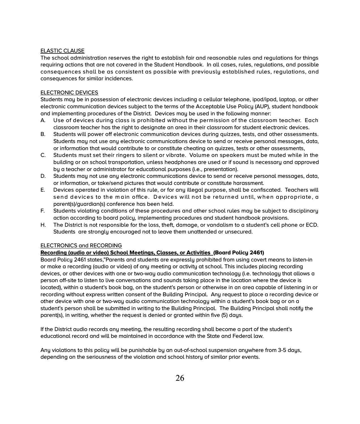# ELASTIC CLAUSE

The school administration reserves the right to establish fair and reasonable rules and regulations for things requiring actions that are not covered in the Student Handbook. In all cases, rules, regulations, and possible consequences shall be as consistent as possible with previously established rules, regulations, and consequences for similar incidences.

# ELECTRONIC DEVICES

Students may be in possession of electronic devices including a cellular telephone, ipod/ipad, laptop, or other electronic communication devices subject to the terms of the Acceptable Use Policy (AUP), student handbook and implementing procedures of the District. Devices may be used in the following manner:

- A. Use of devices during class is prohibited without the permission of the classroom teacher. Each classroom teacher has the right to designate an area in their classroom for student electronic devices.
- B. Students will power off electronic communication devices during quizzes, tests, and other assessments. Students may not use any electronic communications device to send or receive personal messages, data, or information that would contribute to or constitute cheating on quizzes, tests or other assessments,
- C. Students must set their ringers to silent or vibrate. Volume on speakers must be muted while in the building or on school transportation, unless headphones are used or if sound is necessary and approved by a teacher or administrator for educational purposes (i.e., presentation).
- D. Students may not use any electronic communications device to send or receive personal messages, data, or information, or take/send pictures that would contribute or constitute harassment.
- E. Devices operated in violation of this rule, or for any illegal purpose, shall be confiscated. Teachers will send devices to the main office. Devices will not be returned until, when appropriate, a parent(s)/guardian(s) conference has been held.
- F. Students violating conditions of these procedures and other school rules may be subject to disciplinary action according to board policy, implementing procedures and student handbook provisions.
- H. The District is not responsible for the loss, theft, damage, or vandalism to a student's cell phone or ECD. Students are strongly encouraged not to leave them unattended or unsecured.

# ELECTRONICS and RECORDING

# **Recording (audio or video) School Meetings, Classes, or Activities (Board Policy 2461)**

Board Policy 2461 states,"Parents and students are expressly prohibited from using covert means to listen-in or make a recording (audio or video) of any meeting or activity at school. This includes placing recording devices, or other devices with one or two-way audio communication technology (i.e. technology that allows a person off-site to listen to live conversations and sounds taking place in the location where the device is located), within a student's book bag, on the student's person or otherwise in an area capable of listening in or recording without express written consent of the Building Principal. Any request to place a recording device or other device with one or two-way audio communication technology within a student's book bag or on a student's person shall be submitted in writing to the Building Principal. The Building Principal shall notify the parent(s), in writing, whether the request is denied or granted within five (5) days.

If the District audio records any meeting, the resulting recording shall become a part of the student's educational record and will be maintained in accordance with the State and Federal law.

Any violations to this policy will be punishable by an out-of-school suspension anywhere from 3-5 days, depending on the seriousness of the violation and school history of similar prior events.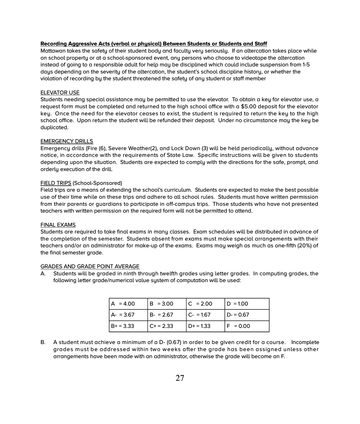#### **Recording Aggressive Acts (verbal or physical) Between Students or Students and Staff**

Mattawan takes the safety of their student body and faculty very seriously. If an altercation takes place while on school property or at a school-sponsored event, any persons who choose to videotape the altercation instead of going to a responsible adult for help may be disciplined which could include suspension from 1-5 days depending on the severity of the altercation, the student's school discipline history, or whether the violation of recording by the student threatened the safety of any student or staff member

# ELEVATOR USE

Students needing special assistance may be permitted to use the elevator. To obtain a key for elevator use, a request form must be completed and returned to the high school office with a \$5.00 deposit for the elevator key. Once the need for the elevator ceases to exist, the student is required to return the key to the high school office. Upon return the student will be refunded their deposit. Under no circumstance may the key be duplicated.

#### EMERGENCY DRILLS

Emergency drills (Fire (6), Severe Weather(2), and Lock Down (3) will be held periodically, without advance notice, in accordance with the requirements of State Law. Specific instructions will be given to students depending upon the situation. Students are expected to comply with the directions for the safe, prompt, and orderly execution of the drill.

#### FIELD TRIPS (School-Sponsored)

Field trips are a means of extending the school's curriculum. Students are expected to make the best possible use of their time while on these trips and adhere to all school rules. Students must have written permission from their parents or guardians to participate in off-campus trips. Those students who have not presented teachers with written permission on the required form will not be permitted to attend.

#### FINAL EXAMS

Students are required to take final exams in many classes. Exam schedules will be distributed in advance of the completion of the semester. Students absent from exams must make special arrangements with their teachers and/or an administrator for make-up of the exams. Exams may weigh as much as one-fifth (20%) of the final semester grade.

#### GRADES AND GRADE POINT AVERAGE

A. Students will be graded in ninth through twelfth grades using letter grades. In computing grades, the following letter grade/numerical value system of computation will be used:

| $A = 4.00$   | $ B = 3.00$ | $ C  = 2.00$ | $ D = 1.00$ |
|--------------|-------------|--------------|-------------|
| $ A - 3.67 $ | IB- = 2.67  | $ C - 1.67$  | D- = 0.67   |
| $B + 3.33$   | $C + 2.33$  | D+ = 1.33    | $F = 0.00$  |

B. A student must achieve a minimum of a D- (0.67) in order to be given credit for a course.Incomplete grades must be addressed within two weeks after the grade has been assigned unless other arrangements have been made with an administrator, otherwise the grade will become an F.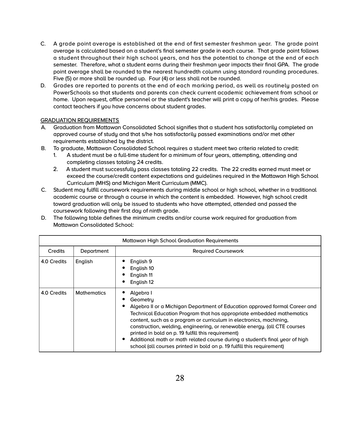- C. A grade point average is established at the end of first semester freshman year. The grade point average is calculated based on a student's final semester grade in each course. That grade point follows a student throughout their high school years, and has the potential to change at the end of each semester. Therefore, what a student earns during their freshman year impacts their final GPA. The grade point average shall be rounded to the nearest hundredth column using standard rounding procedures. Five (5) or more shall be rounded up. Four (4) or less shall not be rounded.
- D. Grades are reported to parents at the end of each marking period, as well as routinely posted on PowerSchools so that students and parents can check current academic achievement from school or home. Upon request, office personnel or the student's teacher will print a copy of her/his grades. Please contact teachers if you have concerns about student grades.

# GRADUATION REQUIREMENTS

- A. Graduation from Mattawan Consolidated School signifies that a student has satisfactorily completed an approved course of study and that s/he has satisfactorily passed examinations and/or met other requirements established by the district.
- B. To graduate, Mattawan Consolidated School requires a student meet two criteria related to credit:
	- 1. A student must be a full-time student for a minimum of four years, attempting, attending and completing classes totaling 24 credits.
	- 2. A student must successfully pass classes totaling 22 credits. The 22 credits earned must meet or exceed the course/credit content expectations and guidelines required in the Mattawan High School Curriculum (MHS) and Michigan Merit Curriculum (MMC).
- C. Student may fulfill coursework requirements during middle school or high school, whether in a traditional academic course or through a course in which the content is embedded. However, high school credit toward graduation will only be issued to students who have attempted, attended and passed the coursework following their first day of ninth grade.
- D. The following table defines the minimum credits and/or course work required for graduation from Mattawan Consolidated School:

| <b>Mattawan High School Graduation Requirements</b> |                    |                                                                                                                                                                                                                                                                                                                                                                                                                                                                                                                                                             |
|-----------------------------------------------------|--------------------|-------------------------------------------------------------------------------------------------------------------------------------------------------------------------------------------------------------------------------------------------------------------------------------------------------------------------------------------------------------------------------------------------------------------------------------------------------------------------------------------------------------------------------------------------------------|
| Credits                                             | Department         | <b>Required Coursework</b>                                                                                                                                                                                                                                                                                                                                                                                                                                                                                                                                  |
| 4.0 Credits                                         | English            | English 9<br>English 10<br>English 11<br>English 12                                                                                                                                                                                                                                                                                                                                                                                                                                                                                                         |
| 4.0 Credits                                         | <b>Mathematics</b> | Algebra I<br>Geometru<br>Algebra II or a Michigan Department of Education approved formal Career and<br>٠<br>Technical Education Program that has appropriate embedded mathematics<br>content, such as a program or curriculum in electronics, machining,<br>construction, welding, engineering, or renewable energy. (all CTE courses<br>printed in bold on p. 19 fulfill this requirement)<br>Additional math or math related course during a student's final year of high<br>٠<br>school (all courses printed in bold on p. 19 fulfill this requirement) |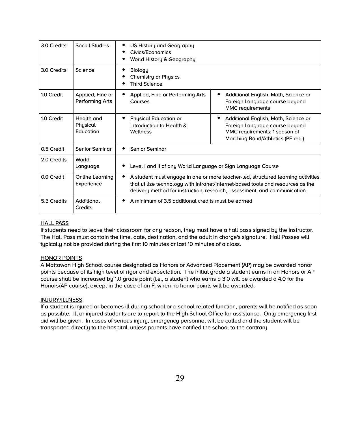| 3.0 Credits | Social Studies                      | US History and Geography<br>Civics/Economics<br>World History & Geography                                                                                                                                                                             |                                                                                                                                              |  |  |
|-------------|-------------------------------------|-------------------------------------------------------------------------------------------------------------------------------------------------------------------------------------------------------------------------------------------------------|----------------------------------------------------------------------------------------------------------------------------------------------|--|--|
| 3.0 Credits | Science                             | Biologu<br>Chemistry or Physics<br><b>Third Science</b>                                                                                                                                                                                               |                                                                                                                                              |  |  |
| 1.0 Credit  | Applied, Fine or<br>Performing Arts | Applied, Fine or Performing Arts<br>Courses                                                                                                                                                                                                           | Additional English, Math, Science or<br>Foreign Language course beyond<br><b>MMC</b> requirements                                            |  |  |
| 1.0 Credit  | Health and<br>Physical<br>Education | <b>Physical Education or</b><br>٠<br>Introduction to Health &<br>Wellness                                                                                                                                                                             | Additional English, Math, Science or<br>Foreign Language course beyond<br>MMC requirements; 1 season of<br>Marching Band/Athletics (PE reg.) |  |  |
| 0.5 Credit  | <b>Senior Seminar</b>               | <b>Senior Seminar</b>                                                                                                                                                                                                                                 |                                                                                                                                              |  |  |
| 2.0 Credits | World<br>Language                   | Level I and II of any World Language or Sign Language Course                                                                                                                                                                                          |                                                                                                                                              |  |  |
| 0.0 Credit  | Online Learning<br>Experience       | A student must engage in one or more teacher-led, structured learning activities<br>٠<br>that utilize technology with Intranet/Internet-based tools and resources as the<br>delivery method for instruction, research, assessment, and communication. |                                                                                                                                              |  |  |
| 5.5 Credits | Additional<br>Credits               | A minimum of 3.5 additional credits must be earned                                                                                                                                                                                                    |                                                                                                                                              |  |  |

# HALL PASS

If students need to leave their classroom for any reason, they must have a hall pass signed by the instructor. The Hall Pass must contain the time, date, destination, and the adult in charge's signature. Hall Passes will typically not be provided during the first 10 minutes or last 10 minutes of a class.

# HONOR POINTS

A Mattawan High School course designated as Honors or Advanced Placement (AP) may be awarded honor points because of its high level of rigor and expectation. The initial grade a student earns in an Honors or AP course shall be increased by 1.0 grade point (i.e., a student who earns a 3.0 will be awarded a 4.0 for the Honors/AP course), except in the case of an F, when no honor points will be awarded.

# INJURY/ILLNESS

If a student is injured or becomes ill during school or a school related function, parents will be notified as soon as possible. Ill or injured students are to report to the High School Office for assistance. Only emergency first aid will be given. In cases of serious injury, emergency personnel will be called and the student will be transported directly to the hospital, unless parents have notified the school to the contrary.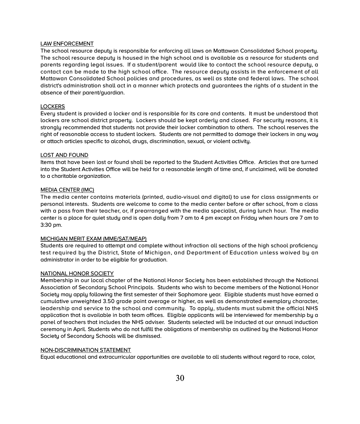#### LAW ENFORCEMENT

The school resource deputy is responsible for enforcing all laws on Mattawan Consolidated School property. The school resource deputy is housed in the high school and is available as a resource for students and parents regarding legal issues. If a student/parent would like to contact the school resource deputy, a contact can be made to the high school office. The resource deputy assists in the enforcement of all Mattawan Consolidated School policies and procedures, as well as state and federal laws. The school district's administration shall act in a manner which protects and guarantees the rights of a student in the absence of their parent/guardian.

#### **LOCKERS**

Every student is provided a locker and is responsible for its care and contents. It must be understood that lockers are school district property. Lockers should be kept orderly and closed. For security reasons, it is strongly recommended that students not provide their locker combination to others. The school reserves the right of reasonable access to student lockers. Students are not permitted to damage their lockers in any way or attach articles specific to alcohol, drugs, discrimination, sexual, or violent activity.

#### LOST AND FOUND

Items that have been lost or found shall be reported to the Student Activities Office. Articles that are turned into the Student Activities Office will be held for a reasonable length of time and, if unclaimed, will be donated to a charitable organization.

#### MEDIA CENTER (IMC)

The media center contains materials (printed, audio-visual and digital) to use for class assignments or personal interests. Students are welcome to come to the media center before or after school, from a class with a pass from their teacher, or, if prearranged with the media specialist, during lunch hour. The media center is a place for quiet study and is open daily from 7 am to 4 pm except on Friday when hours are 7 am to 3:30 pm.

# MICHIGAN MERIT EXAM (MME/SAT/MEAP)

Students are required to attempt and complete without infraction all sections of the high school proficiency test required by the District, State of Michigan, and Department of Education unless waived by an administrator in order to be eligible for graduation.

#### NATIONAL HONOR SOCIETY

Membership in our local chapter of the National Honor Society has been established through the National Association of Secondary School Principals. Students who wish to become members of the National Honor Society may apply following the first semester of their Sophomore year. Eligible students must have earned a cumulative unweighted 3.50 grade point average or higher, as well as demonstrated exemplary character, leadership and service to the school and community. To apply, students must submit the official NHS application that is available in both team offices. Eligible applicants will be interviewed for membership by a panel of teachers that includes the NHS adviser. Students selected will be inducted at our annual induction ceremony in April. Students who do not fulfill the obligations of membership as outlined by the National Honor Society of Secondary Schools will be dismissed.

#### NON-DISCRIMINATION STATEMENT

Equal educational and extracurricular opportunities are available to all students without regard to race, color,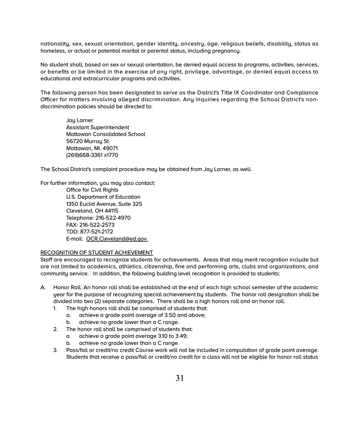nationality, sex, sexual orientation, gender identity, ancestry, age, religious beliefs, disability, status as homeless, or actual or potential marital or parental status, including pregnancy.

No student shall, based on sex or sexual orientation, be denied equal access to programs, activities, services, or benefits or be limited in the exercise of any right, privilege, advantage, or denied equal access to educational and extracurricular programs and activities.

The following person has been designated to serve as the District's Title IX Coordinator and Compliance Officer for matters involving alleged discrimination. Any inquiries regarding the School District's nondiscrimination policies should be directed to:

Jay Larner Assistant Superintendent Mattawan Consolidated School 56720 Murrau St. Mattawan, Mi. 49071 (269)668-3361 x1770

The School District's complaint procedure may be obtained from Jay Larner, as well.

For further information, you may also contact:

Office for Civil Rights U.S. Department of Education 1350 Euclid Avenue, Suite 325 Cleveland, OH 44115 Telephone: 216-522-4970 FAX: 216-522-2573 TDD: 877-521-2172 E-mail: [OCR.Cleveland@ed.gov](mailto:OCR.Cleveland@ed.gov) 

# RECOGNITION OF STUDENT ACHIEVEMENT

Staff are encouraged to recognize students for achievements. Areas that may merit recognition include but are not limited to academics, athletics, citizenship, fine and performing arts, clubs and organizations, and community service. In addition, the following building level recognition is provided to students:

- A. Honor Roll. An honor roll shall be established at the end of each high school semester of the academic year for the purpose of recognizing special achievement by students. The honor roll designation shall be divided into two (2) separate categories. There shall be a high honors roll and an honor roll.
	- 1. The high honors roll shall be comprised of students that:
		- a. achieve a grade point average of 3.50 and above;
		- b. achieve no grade lower than a C range.
	- 2. The honor roll shall be comprised of students that:
		- a. achieve a grade point average 3.10 to 3.49;
		- b. achieve no grade lower than a C range.
	- 3. Pass/fail or credit/no credit Course work will not be included in computation of grade point average. Students that receive a pass/fail or credit/no credit for a class will not be eligible for honor roll status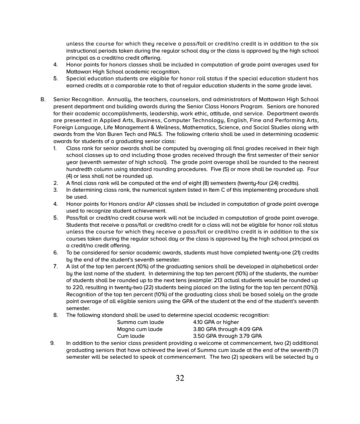unless the course for which they receive a pass/fail or credit/no credit is in addition to the six instructional periods taken during the regular school day or the class is approved by the high school principal as a credit/no credit offering.

- 4. Honor points for honors classes shall be included in computation of grade point averages used for Mattawan High School academic recognition.
- 5. Special education students are eligible for honor roll status if the special education student has earned credits at a comparable rate to that of regular education students in the same grade level.
- B. Senior Recognition. Annually, the teachers, counselors, and administrators of Mattawan High School present department and building awards during the Senior Class Honors Program. Seniors are honored for their academic accomplishments, leadership, work ethic, attitude, and service. Department awards are presented in Applied Arts, Business, Computer Technology, English, Fine and Performing Arts, Foreign Language, Life Management & Wellness, Mathematics, Science, and Social Studies along with awards from the Van Buren Tech and PALS. The following criteria shall be used in determining academic awards for students of a graduating senior class:
	- 1. Class rank for senior awards shall be computed by averaging all final grades received in their high school classes up to and including those grades received through the first semester of their senior year (seventh semester of high school). The grade point average shall be rounded to the nearest hundredth column using standard rounding procedures. Five (5) or more shall be rounded up. Four (4) or less shall not be rounded up.
	- 2. A final class rank will be computed at the end of eight (8) semesters (twenty-four (24) credits).
	- 3. In determining class rank, the numerical system listed in Item C of this implementing procedure shall be used.
	- 4. Honor points for Honors and/or AP classes shall be included in computation of grade point average used to recognize student achievement.
	- 5. Pass/fail or credit/no credit course work will not be included in computation of grade point average. Students that receive a pass/fail or credit/no credit for a class will not be eligible for honor roll status unless the course for which they receive a pass/fail or credit/no credit is in addition to the six courses taken during the regular school day or the class is approved by the high school principal as a credit/no credit offering.
	- 6. To be considered for senior academic awards, students must have completed twenty-one (21) credits by the end of the student's seventh semester.
	- 7. A list of the top ten percent (10%) of the graduating seniors shall be developed in alphabetical order by the last name of the student. In determining the top ten percent (10%) of the students, the number of students shall be rounded up to the next tens (example: 213 actual students would be rounded up to 220, resulting in twenty-two (22) students being placed on the listing for the top ten percent (10%)). Recognition of the top ten percent (10%) of the graduating class shall be based solely on the grade point average of all eligible seniors using the GPA of the student at the end of the student's seventh semester.
	- 8. The following standard shall be used to determine special academic recognition:

| Summa cum laude | 4.10 GPA or higher        |
|-----------------|---------------------------|
| Magna cum laude | 3.80 GPA through 4.09 GPA |
| Cum laude       | 3.50 GPA through 3.79 GPA |

9. In addition to the senior class president providing a welcome at commencement, two (2) additional graduating seniors that have achieved the level of Summa cum laude at the end of the seventh (7) semester will be selected to speak at commencement. The two (2) speakers will be selected by a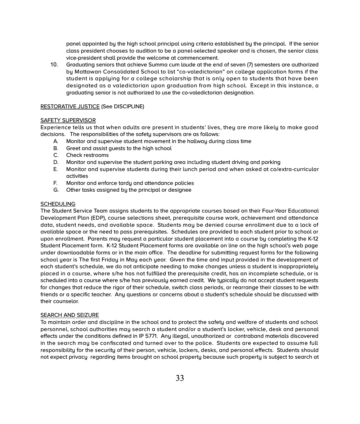panel appointed by the high school principal using criteria established by the principal. If the senior class president chooses to audition to be a panel-selected speaker and is chosen, the senior class vice-president shall provide the welcome at commencement.

10. Graduating seniors that achieve Summa cum laude at the end of seven (7) semesters are authorized by Mattawan Consolidated School to list "co-valedictorian" on college application forms if the student is applying for a college scholarship that is only open to students that have been designated as a valedictorian upon graduation from high school. Except in this instance, a graduating senior is not authorized to use the co-valedictorian designation.

# RESTORATIVE JUSTICE (See DISCIPLINE)

# SAFETY SUPERVISOR

Experience tells us that when adults are present in students' lives, they are more likely to make good decisions. The responsibilities of the safety supervisors are as follows:

- A. Monitor and supervise student movement in the hallway during class time
- B. Greet and assist guests to the high school<br>C. Check restrooms
- Check restrooms
- D. Monitor and supervise the student parking area including student driving and parking
- E. Monitor and supervise students during their lunch period and when asked at co/extra-curricular activities
- F. Monitor and enforce tardy and attendance policies
- G. Other tasks assigned by the principal or designee

#### **SCHEDULING**

The Student Service Team assigns students to the appropriate courses based on their Four-Year Educational Development Plan (EDP), course selections sheet, prerequisite course work, achievement and attendance data, student needs, and available space. Students may be denied course enrollment due to a lack of available space or the need to pass prerequisites. Schedules are provided to each student prior to school or upon enrollment. Parents may request a particular student placement into a course by completing the K-12 Student Placement form. K-12 Student Placement forms are available on line on the high school's web page under downloadable forms or in the main office. The deadline for submitting request forms for the following school year is The first Friday in May each year. Given the time and input provided in the development of each student's schedule, we do not anticipate needing to make changes unless a student is inappropriately placed in a course, where s/he has not fulfilled the prerequisite credit, has an incomplete schedule, or is scheduled into a course where s/he has previously earned credit. We typically do not accept student requests for changes that reduce the rigor of their schedule, switch class periods, or rearrange their classes to be with friends or a specific teacher. Any questions or concerns about a student's schedule should be discussed with their counselor.

# SEARCH AND SEIZURE

To maintain order and discipline in the school and to protect the safety and welfare of students and school personnel, school authorities may search a student and/or a student's locker, vehicle, desk and personal effects under the conditions defined in IP 5771. Any illegal, unauthorized or contraband materials discovered in the search may be confiscated and turned over to the police. Students are expected to assume full responsibility for the security of their person, vehicle, lockers, desks, and personal effects. Students should not expect privacy regarding items brought on school property because such property is subject to search at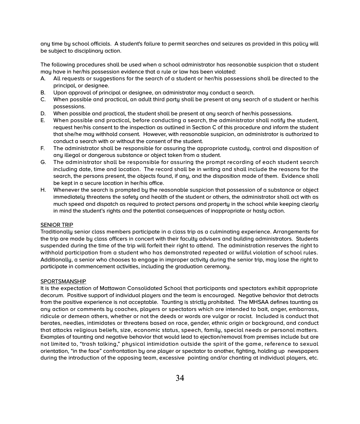any time by school officials. A student's failure to permit searches and seizures as provided in this policy will be subject to disciplinary action.

The following procedures shall be used when a school administrator has reasonable suspicion that a student may have in her/his possession evidence that a rule or law has been violated:

- A. All requests or suggestions for the search of a student or her/his possessions shall be directed to the principal, or designee.
- B. Upon approval of principal or designee, an administrator may conduct a search.
- C. When possible and practical, an adult third party shall be present at any search of a student or her/his possessions.
- D. When possible and practical, the student shall be present at any search of her/his possessions.
- E. When possible and practical, before conducting a search, the administrator shall notify the student, request her/his consent to the inspection as outlined in Section C of this procedure and inform the student that she/he may withhold consent. However, with reasonable suspicion, an administrator is authorized to conduct a search with or without the consent of the student.
- F. The administrator shall be responsible for assuring the appropriate custody, control and disposition of any illegal or dangerous substance or object taken from a student.
- G. The administrator shall be responsible for assuring the prompt recording of each student search including date, time and location. The record shall be in writing and shall include the reasons for the search, the persons present, the objects found, if any, and the disposition made of them. Evidence shall be kept in a secure location in her/his office.
- H. Whenever the search is prompted by the reasonable suspicion that possession of a substance or object immediately threatens the safety and health of the student or others, the administrator shall act with as much speed and dispatch as required to protect persons and property in the school while keeping clearly in mind the student's rights and the potential consequences of inappropriate or hasty action.

#### SENIOR TRIP

Traditionally senior class members participate in a class trip as a culminating experience. Arrangements for the trip are made by class officers in concert with their faculty advisers and building administrators. Students suspended during the time of the trip will forfeit their right to attend. The administration reserves the right to withhold participation from a student who has demonstrated repeated or willful violation of school rules. Additionally, a senior who chooses to engage in improper activity during the senior trip, may lose the right to participate in commencement activities, including the graduation ceremony.

#### **SPORTSMANSHIP**

It is the expectation of Mattawan Consolidated School that participants and spectators exhibit appropriate decorum. Positive support of individual players and the team is encouraged. Negative behavior that detracts from the positive experience is not acceptable. Taunting is strictly prohibited. The MHSAA defines taunting as any action or comments by coaches, players or spectators which are intended to bait, anger, embarrass, ridicule or demean others, whether or not the deeds or words are vulgar or racist. Included is conduct that berates, needles, intimidates or threatens based on race, gender, ethnic origin or background, and conduct that attacks religious beliefs, size, economic status, speech, family, special needs or personal matters. Examples of taunting and negative behavior that would lead to ejection/removal from premises include but are not limited to, "trash talking," physical intimidation outside the spirit of the game, reference to sexual orientation, "in the face" confrontation by one player or spectator to another, fighting, holding up newspapers during the introduction of the opposing team, excessive pointing and/or chanting at individual players, etc.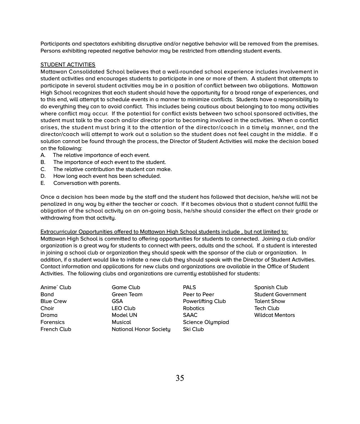Participants and spectators exhibiting disruptive and/or negative behavior will be removed from the premises. Persons exhibiting repeated negative behavior may be restricted from attending student events.

# STUDENT ACTIVITIES

Mattawan Consolidated School believes that a well-rounded school experience includes involvement in student activities and encourages students to participate in one or more of them. A student that attempts to participate in several student activities may be in a position of conflict between two obligations. Mattawan High School recognizes that each student should have the opportunity for a broad range of experiences, and to this end, will attempt to schedule events in a manner to minimize conflicts. Students have a responsibility to do everything they can to avoid conflict. This includes being cautious about belonging to too many activities where conflict may occur. If the potential for conflict exists between two school sponsored activities, the student must talk to the coach and/or director prior to becoming involved in the activities. When a conflict arises, the student must bring it to the attention of the director/coach in a timely manner, and the director/coach will attempt to work out a solution so the student does not feel caught in the middle. If a solution cannot be found through the process, the Director of Student Activities will make the decision based on the following:

- A. The relative importance of each event.
- B. The importance of each event to the student.<br>C. The relative contribution the student can make
- C. The relative contribution the student can make.<br>D. How long each event has been scheduled.
- How long each event has been scheduled.
- E. Conversation with parents.

Once a decision has been made by the staff and the student has followed that decision, he/she will not be penalized in any way by either the teacher or coach. If it becomes obvious that a student cannot fulfill the obligation of the school activity on an on-going basis, he/she should consider the effect on their grade or withdrawing from that activity.

Extracurricular Opportunities offered to Mattawan High School students include , but not limited to:

Mattawan High School is committed to offering opportunities for students to connected. Joining a club and/or organization is a great way for students to connect with peers, adults and the school. If a student is interested in joining a school club or organization they should speak with the sponsor of the club or organization. In addition, if a student would like to initiate a new club they should speak with the Director of Student Activities. Contact information and applications for new clubs and organizations are available in the Office of Student Activities. The following clubs and organizations are currently established for students:

| Anime' Club      | Game Club              | <b>PALS</b>              | Spanish Club              |
|------------------|------------------------|--------------------------|---------------------------|
| <b>Band</b>      | Green Team             | Peer to Peer             | <b>Student Government</b> |
| <b>Blue Crew</b> | <b>GSA</b>             | <b>Powerlifting Club</b> | <b>Talent Show</b>        |
| Choir            | LEO Club               | Robotics                 | Tech Club                 |
| Drama            | Model UN               | <b>SAAC</b>              | <b>Wildcat Mentors</b>    |
| <b>Forensics</b> | Musical                | <b>Science Olympiad</b>  |                           |
| French Club      | National Honor Society | Ski Club                 |                           |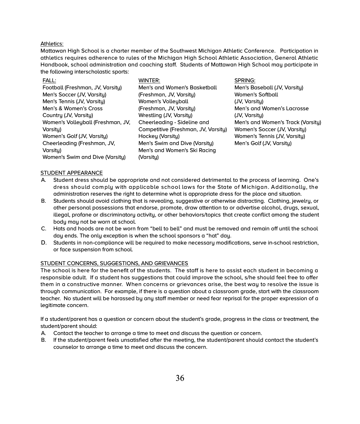# Athletics:

Mattawan High School is a charter member of the Southwest Michigan Athletic Conference. Participation in athletics requires adherence to rules of the Michigan High School Athletic Association, General Athletic Handbook, school administration and coaching staff. Students of Mattawan High School may participate in the following interscholastic sports:

| FALL:                             | WINTER:                             | <b>SPRING:</b>                    |
|-----------------------------------|-------------------------------------|-----------------------------------|
| Football (Freshman, JV, Varsity)  | Men's and Women's Basketball        | Men's Baseball (JV, Varsity)      |
| Men's Soccer (JV, Varsity)        | (Freshman, JV, Varsity)             | <b>Women's Softball</b>           |
| Men's Tennis (JV, Varsity)        | Women's Volleyball                  | (JV, Varsity)                     |
| Men's & Women's Cross             | (Freshman, JV, Varsity)             | Men's and Women's Lacrosse        |
| Country (JV, Varsity)             | Wrestling (JV, Varsity)             | (JV, Varsity)                     |
| Women's Volleyball (Freshman, JV, | Cheerleading - Sideline and         | Men's and Women's Track (Varsity) |
| Varsity)                          | Competitive (Freshman, JV, Varsity) | Women's Soccer (JV, Varsity)      |
| Women's Golf (JV, Varsity)        | Hockey (Varsity)                    | Women's Tennis (JV, Varsity)      |
| Cheerleading (Freshman, JV,       | Men's Swim and Dive (Varsity)       | Men's Golf (JV, Varsity)          |
| Varsity)                          | Men's and Women's Ski Racing        |                                   |
| Women's Swim and Dive (Varsity)   | (Varsity)                           |                                   |
|                                   |                                     |                                   |

#### STUDENT APPEARANCE

- A. Student dress should be appropriate and not considered detrimental to the process of learning. One's dress should comply with applicable school laws for the State of Michigan. Additionally, the administration reserves the right to determine what is appropriate dress for the place and situation.
- B. Students should avoid clothing that is revealing, suggestive or otherwise distracting. Clothing, jewelry, or other personal possessions that endorse, promote, draw attention to or advertise alcohol, drugs, sexual, illegal, profane or discriminatory activity, or other behaviors/topics that create conflict among the student body may not be worn at school.
- C. Hats and hoods are not be worn from "bell to bell" and must be removed and remain off until the school day ends. The only exception is when the school sponsors a "hat" day.
- D. Students in non-compliance will be required to make necessary modifications, serve in-school restriction, or face suspension from school.

# STUDENT CONCERNS, SUGGESTIONS, AND GRIEVANCES

The school is here for the benefit of the students. The staff is here to assist each student in becoming a responsible adult. If a student has suggestions that could improve the school, s/he should feel free to offer them in a constructive manner. When concerns or grievances arise, the best way to resolve the issue is through communication. For example, if there is a question about a classroom grade, start with the classroom teacher. No student will be harassed by any staff member or need fear reprisal for the proper expression of a legitimate concern.

If a student/parent has a question or concern about the student's grade, progress in the class or treatment, the student/parent should:

- A. Contact the teacher to arrange a time to meet and discuss the question or concern.
- B. If the student/parent feels unsatisfied after the meeting, the student/parent should contact the student's counselor to arrange a time to meet and discuss the concern.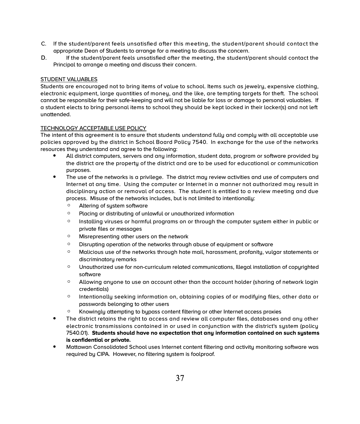- C. If the student/parent feels unsatisfied after this meeting, the student/parent should contact the appropriate Dean of Students to arrange for a meeting to discuss the concern.
- D. If the student/parent feels unsatisfied after the meeting, the student/parent should contact the Principal to arrange a meeting and discuss their concern.

# STUDENT VALUABLES

Students are encouraged not to bring items of value to school. Items such as jewelry, expensive clothing, electronic equipment, large quantities of money, and the like, are tempting targets for theft. The school cannot be responsible for their safe-keeping and will not be liable for loss or damage to personal valuables. If a student elects to bring personal items to school they should be kept locked in their locker(s) and not left unattended.

# TECHNOLOGY ACCEPTABLE USE POLICY

The intent of this agreement is to ensure that students understand fully and comply with all acceptable use policies approved by the district in School Board Policy 7540. In exchange for the use of the networks resources they understand and agree to the following:

- All district computers, servers and any information, student data, program or software provided by the district are the property of the district and are to be used for educational or communication purposes.
- The use of the networks is a privilege. The district may review activities and use of computers and Internet at any time. Using the computer or Internet in a manner not authorized may result in disciplinary action or removal of access. The student is entitled to a review meeting and due process. Misuse of the networks includes, but is not limited to intentionally:
	- Altering of system software
	- Placing or distributing of unlawful or unauthorized information
	- Installing viruses or harmful programs on or through the computer system either in public or private files or messages
	- Misrepresenting other users on the network
	- Disrupting operation of the networks through abuse of equipment or software
	- Malicious use of the networks through hate mail, harassment, profanity, vulgar statements or discriminatory remarks
	- Unauthorized use for non-curriculum related communications, Illegal installation of copyrighted software
	- Allowing anyone to use an account other than the account holder (sharing of network login credentials)
	- Intentionally seeking information on, obtaining copies of or modifying files, other data or passwords belonging to other users
	- Knowingly attempting to bypass content filtering or other Internet access proxies
- The district retains the right to access and review all computer files, databases and any other electronic transmissions contained in or used in conjunction with the district's system (policy 7540.01). **Students should have no expectation that any information contained on such systems is confidential or private.**
- Mattawan Consolidated School uses Internet content filtering and activity monitoring software was required by CIPA. However, no filtering system is foolproof.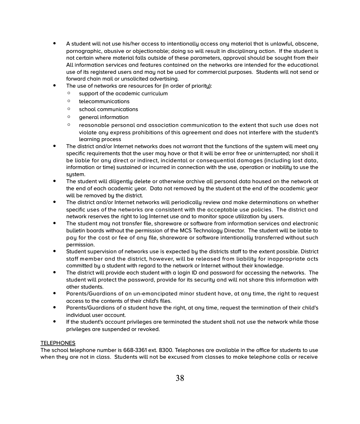- A student will not use his/her access to intentionally access any material that is unlawful, obscene, pornographic, abusive or objectionable; doing so will result in disciplinary action. If the student is not certain where material falls outside of these parameters, approval should be sought from their All information services and features contained on the networks are intended for the educational use of its registered users and may not be used for commercial purposes. Students will not send or forward chain mail or unsolicited advertising.
- The use of networks are resources for (in order of priority):
	- support of the academic curriculum
	- telecommunications
	- school communications
	- general information
	- reasonable personal and association communication to the extent that such use does not violate any express prohibitions of this agreement and does not interfere with the student's learning process
- The district and/or Internet networks does not warrant that the functions of the system will meet any specific requirements that the user may have or that it will be error free or uninterrupted; nor shall it be liable for any direct or indirect, incidental or consequential damages (including lost data, information or time) sustained or incurred in connection with the use, operation or inability to use the system.
- The student will diligently delete or otherwise archive all personal data housed on the network at the end of each academic year. Data not removed by the student at the end of the academic year will be removed by the district.
- The district and/or Internet networks will periodically review and make determinations on whether specific uses of the networks are consistent with the acceptable use policies. The district and network reserves the right to log Internet use and to monitor space utilization by users.
- The student may not transfer file, shareware or software from information services and electronic bulletin boards without the permission of the MCS Technology Director. The student will be liable to pay for the cost or fee of any file, shareware or software intentionally transferred without such permission.
- Student supervision of networks use is expected by the districts staff to the extent possible. District staff member and the district, however, will be released from liability for inappropriate acts committed by a student with regard to the network or Internet without their knowledge.
- The district will provide each student with a login ID and password for accessing the networks. The student will protect the password, provide for its security and will not share this information with other students.
- Parents/Guardians of an un-emancipated minor student have, at any time, the right to request access to the contents of their child's files.
- Parents/Guardians of a student have the right, at any time, request the termination of their child's individual user account.
- If the student's account privileges are terminated the student shall not use the network while those privileges are suspended or revoked.

# TELEPHONES

The school telephone number is 668-3361 ext. 8300. Telephones are available in the office for students to use when they are not in class. Students will not be excused from classes to make telephone calls or receive